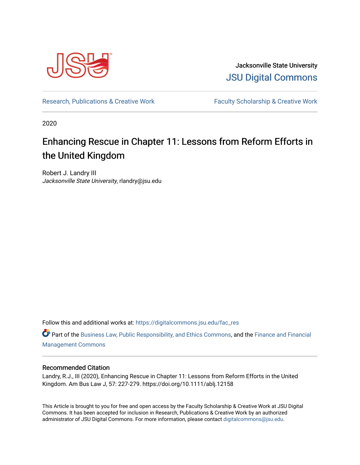

Jacksonville State University [JSU Digital Commons](https://digitalcommons.jsu.edu/) 

[Research, Publications & Creative Work](https://digitalcommons.jsu.edu/fac_res) Faculty Scholarship & Creative Work

2020

# Enhancing Rescue in Chapter 11: Lessons from Reform Efforts in the United Kingdom

Robert J. Landry III Jacksonville State University, rlandry@jsu.edu

Follow this and additional works at: [https://digitalcommons.jsu.edu/fac\\_res](https://digitalcommons.jsu.edu/fac_res?utm_source=digitalcommons.jsu.edu%2Ffac_res%2F110&utm_medium=PDF&utm_campaign=PDFCoverPages) 

Part of the [Business Law, Public Responsibility, and Ethics Commons](http://network.bepress.com/hgg/discipline/628?utm_source=digitalcommons.jsu.edu%2Ffac_res%2F110&utm_medium=PDF&utm_campaign=PDFCoverPages), and the [Finance and Financial](http://network.bepress.com/hgg/discipline/631?utm_source=digitalcommons.jsu.edu%2Ffac_res%2F110&utm_medium=PDF&utm_campaign=PDFCoverPages)  [Management Commons](http://network.bepress.com/hgg/discipline/631?utm_source=digitalcommons.jsu.edu%2Ffac_res%2F110&utm_medium=PDF&utm_campaign=PDFCoverPages)

# Recommended Citation

Landry, R.J., III (2020), Enhancing Rescue in Chapter 11: Lessons from Reform Efforts in the United Kingdom. Am Bus Law J, 57: 227-279. https://doi.org/10.1111/ablj.12158

This Article is brought to you for free and open access by the Faculty Scholarship & Creative Work at JSU Digital Commons. It has been accepted for inclusion in Research, Publications & Creative Work by an authorized administrator of JSU Digital Commons. For more information, please contact [digitalcommons@jsu.edu.](mailto:digitalcommons@jsu.edu)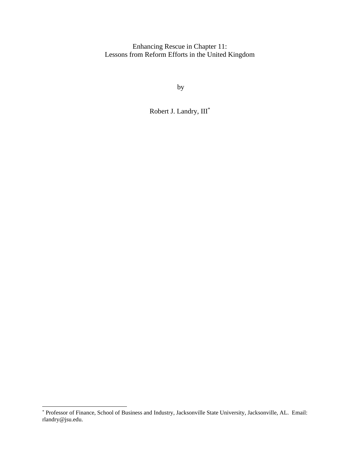Enhancing Rescue in Chapter 11: Lessons from Reform Efforts in the United Kingdom

by

Robert J. Landry, III\*

<sup>\*</sup> Professor of Finance, School of Business and Industry, Jacksonville State University, Jacksonville, AL. Email: rlandry@jsu.edu.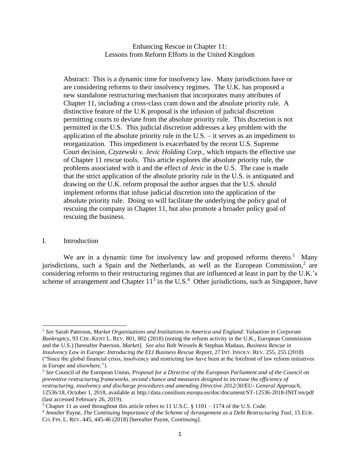Enhancing Rescue in Chapter 11: Lessons from Reform Efforts in the United Kingdom

Abstract: This is a dynamic time for insolvency law. Many jurisdictions have or are considering reforms to their insolvency regimes. The U.K. has proposed a new standalone restructuring mechanism that incorporates many attributes of Chapter 11, including a cross-class cram down and the absolute priority rule. A distinctive feature of the U.K proposal is the infusion of judicial discretion permitting courts to deviate from the absolute priority rule. This discretion is not permitted in the U.S. This judicial discretion addresses a key problem with the application of the absolute priority rule in the U.S. – it serves as an impediment to reorganization. This impediment is exacerbated by the recent U.S. Supreme Court decision, *Czyzewski v. Jevic Holding Corp.,* which impacts the effective use of Chapter 11 rescue tools. This article explores the absolute priority rule, the problems associated with it and the effect of *Jevic* in the U.S. The case is made that the strict application of the absolute priority rule in the U.S. is antiquated and drawing on the U.K. reform proposal the author argues that the U.S. should implement reforms that infuse judicial discretion into the application of the absolute priority rule. Doing so will facilitate the underlying the policy goal of rescuing the company in Chapter 11, but also promote a broader policy goal of rescuing the business.

#### I. Introduction

We are in a dynamic time for insolvency law and proposed reforms thereto.<sup>1</sup> Many jurisdictions, such a Spain and the Netherlands, as well as the European Commission, $2$  are considering reforms to their restructuring regimes that are influenced at least in part by the U.K.'s scheme of arrangement and Chapter  $11<sup>3</sup>$  in the U.S.<sup>4</sup> Other jurisdictions, such as Singapore, have

<sup>1</sup> *See* Sarah Paterson, *Market Organisations and Institutions in America and England: Valuation in Corporate Bankruptcy*, 93 CHI.-KENT L. REV. 801, 802 (2018) (noting the reform activity in the U.K., European Commission and the U.S.) [hereafter Paterson, *Market*]. *See also* Bob Wessels & Stephan Madaus, *Business Rescue in Insolvency Law in Europe: Introducing the ELI Business Rescue Report*, 27 INT. INSOLV. REV. 255, 255 (2018) ("Since the global financial crisis, insolvency and restricting law have been at the forefront of law reform initiatives in Europe and elsewhere.").

<sup>2</sup> *See* Council of the European Union, *Proposal for a Directive of the European Parliament and of the Council on preventive restructuring frameworks, second chance and measures designed to increase the efficiency of restructuring, insolvency and discharge procedures and amending Directive 2012/30/EU- General Approach*, 12536/18, October 1, 2018, available at http://data.consilium.europa.eu/doc/document/ST-12536-2018-INIT/en/pdf (last accessed February 26, 2019).

<sup>&</sup>lt;sup>3</sup> Chapter 11 as used throughout this article refers to 11 U.S.C.  $\S$  1101 – 1174 of the U.S. Code.

<sup>4</sup> Jennifer Payne, *The Continuing Importance of the Scheme of Arrangement as a Debt Restructuring Tool*, 15 EUR. CO. FIN. L. REV. 445, 445-46 (2018) [hereafter Payne, *Continuing*].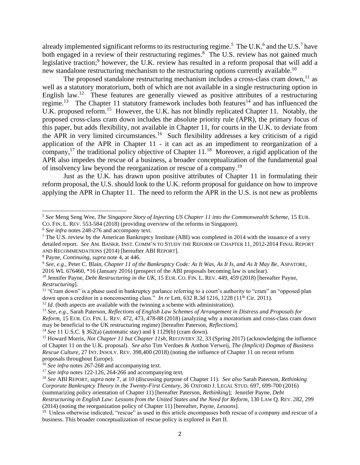already implemented significant reforms to its restructuring regime.<sup>5</sup> The U.K.<sup>6</sup> and the U.S.<sup>7</sup> have both engaged in a review of their restructuring regimes. $8$  The U.S. review has not gained much legislative traction;<sup>9</sup> however, the U.K. review has resulted in a reform proposal that will add a new standalone restructuring mechanism to the restructuring options currently available.<sup>10</sup>

The proposed standalone restructuring mechanism includes a cross-class cram down,  $11$  as well as a statutory moratorium, both of which are not available in a single restructuring option in English law.<sup>12</sup> These features are generally viewed as positive attributes of a restructuring regime.<sup>13</sup> The Chapter 11 statutory framework includes both features<sup>14</sup> and has influenced the U.K. proposed reform.<sup>15</sup> However, the U.K. has not blindly replicated Chapter 11. Notably, the proposed cross-class cram down includes the absolute priority rule (APR), the primary focus of this paper, but adds flexibility, not available in Chapter 11, for courts in the U.K. to deviate from the APR in very limited circumstances.<sup>16</sup> Such flexibility addresses a key criticism of a rigid application of the APR in Chapter 11 - it can act as an impediment to reorganization of a company,<sup>17</sup> the traditional policy objective of Chapter  $11.^{18}$  Moreover, a rigid application of the APR also impedes the rescue of a business, a broader conceptualization of the fundamental goal of insolvency law beyond the reorganization or rescue of a company.<sup>19</sup>

Just as the U.K. has drawn upon positive attributes of Chapter 11 in formulating their reform proposal, the U.S. should look to the U.K. reform proposal for guidance on how to improve applying the APR in Chapter 11. The need to reform the APR in the U.S. is not new as problems

<sup>5</sup> *See* Meng Seng Wee, *The Singapore Story of Injecting US Chapter 11 into the Commonwealth Scheme*, 15 EUR. CO. FIN. L. REV. 553-584 (2018) (providing overview of the reforms in Singapore).

<sup>6</sup> *See infra* notes 248-276 and accompany text.

<sup>7</sup> The U.S. review by the American Bankruptcy Institute (ABI) was completed in 2014 with the issuance of a very detailed report. *See* AM. BANKR. INST. COMM'N TO STUDY THE REFORM OF CHAPTER 11, 2012-2014 FINAL REPORT AND RECOMMENDATIONS (2014) [hereafter ABI REPORT].

<sup>8</sup> Payne, *Continuing*, *supra* note 4, at 446.

<sup>9</sup> *See*, *e.g*., Peter C. Blain, *Chapter 11 of the Bankruptcy Code: As It Was, As It Is, and As It May Be*, ASPATORE, 2016 WL 676460, \*16 (January 2016) (prospect of the ABI proposals becoming law is unclear).

<sup>&</sup>lt;sup>10</sup> Jennifer Payne, *Debt Restructuring in the UK*, 15 EUR. CO. FIN. L. REV. 449, 459 (2018) [hereafter Payne, *Restructuring*].

 $11$  "Cram down" is a phase used in bankruptcy parlance referring to a court's authority to "cram" an "opposed plan down upon a creditor in a nonconsenting class." *In re* Lett, 632 R.3d 1216, 1228 (11<sup>th</sup> Cir. 2011).

<sup>&</sup>lt;sup>12</sup> *Id*. (both aspects are available with the twinning a scheme with administration).

<sup>13</sup> *See, e.g.,* Sarah Paterson*, Reflections of English Law Schemes of Arrangement in Distress and Proposals for Reform*, 15 EUR. CO. FIN. L. REV. 472, 473, 478-88 (2018) (analyzing why a moratorium and cross-class cram down may be beneficial to the UK restructuring regime) [hereafter Paterson, *Reflections*].

<sup>14</sup> *See* 11 U.S.C. § 362(a) (automatic stay) and § 1129(b) (cram down).

<sup>15</sup> Howard Morris, *Not Chapter 11 but Chapter 11sh*, RECOVERY 32, 33 (Spring 2017) (acknowledging the influence of Chapter 11 on the U.K. proposal). *See also* Tim Verdoes & Anthon Verweij, *The (Implicit) Dogmas of Business Rescue Culture*, 27 INT. INSOLV. REV. 398,400 (2018) (noting the influence of Chapter 11 on recent reform proposals throughout Europe).

<sup>&</sup>lt;sup>16</sup> *See infra* notes 267-268 and accompanying text.

<sup>&</sup>lt;sup>17</sup> *See infra* notes 122-126, 264-266 and accompanying text.

<sup>18</sup> *See* ABI REPORT, *supra* note 7, at 10 (discussing purpose of Chapter 11). *See also* Sarah Paterson, *Rethinking Corporate Bankruptcy Theory in the Twenty-First Century*, 36 OXFORD J. LEGAL STUD. 697, 699-700 (2016) (summarizing policy orientation of Chapter 11) [hereafter Paterson, *Rethinking*]; Jennifer Payne, *Debt Restructuring in English Law: Lessons from the United States and the Need for Reform*, 130 LAW Q. REV. 282, 299

<sup>(2014) (</sup>noting the reorganization policy of Chapter 11) [hereafter, Payne, *Lessons*].

<sup>&</sup>lt;sup>19</sup> Unless otherwise indicated, "rescue" as used in this article encompasses both rescue of a company and rescue of a business. This broader conceptualization of rescue policy is explored in Part II.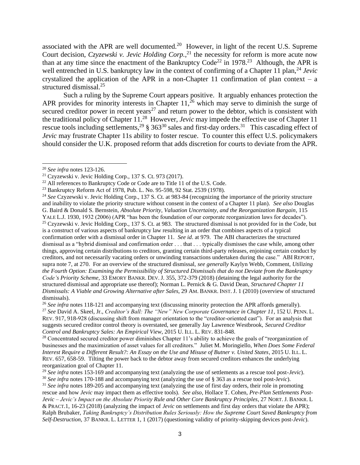associated with the APR are well documented.<sup>20</sup> However, in light of the recent U.S. Supreme Court decision, *Czyzewski v. Jevic Holding Corp.*, <sup>21</sup> the necessity for reform is more acute now than at any time since the enactment of the Bankruptcy Code<sup>22</sup> in 1978.<sup>23</sup> Although, the APR is well entrenched in U.S. bankruptcy law in the context of confirming of a Chapter 11 plan,<sup>24</sup> *Jevic* crystalized the application of the APR in a non-Chapter 11 confirmation of plan context – a structured dismissal.<sup>25</sup>

Such a ruling by the Supreme Court appears positive. It arguably enhances protection the APR provides for minority interests in Chapter 11,<sup>26</sup> which may serve to diminish the surge of secured creditor power in recent years<sup>27</sup> and return power to the debtor, which is consistent with the traditional policy of Chapter 11. 28 However, *Jevic* may impede the effective use of Chapter 11 rescue tools including settlements,  $29 \text{ }$  \$ 363<sup>30</sup> sales and first-day orders.<sup>31</sup> This cascading effect of *Jevic* may frustrate Chapter 11s ability to foster rescue. To counter this effect U.S. policymakers should consider the U.K. proposed reform that adds discretion for courts to deviate from the APR.

<sup>20</sup> *See infra* notes 123-126.

 $21$  Czyzewski v. Jevic Holding Corp., 137 S. Ct. 973 (2017).

<sup>&</sup>lt;sup>22</sup> All references to Bankruptcy Code or Code are to Title 11 of the U.S. Code.

<sup>23</sup> Bankruptcy Reform Act of 1978, Pub. L. No. 95-598, 92 Stat. 2539 (1978).

<sup>24</sup> *See* Czyzewski v. Jevic Holding Corp., 137 S. Ct. at 983-84 (recognizing the importance of the priority structure and inability to violate the priority structure without consent in the context of a Chapter 11 plan). *See also* Douglas G. Baird & Donald S. Bernstein, *Absolute Priority, Valuation Uncertainty, and the Reorganization Bargain*, 115 YALE L.J. 1930, 1932 (2006) (APR "has been the foundation of our corporate reorganization laws for decades"). <sup>25</sup> Czyzewski v. Jevic Holding Corp., 137 S. Ct. at 983. The structured dismissal is not provided for in the Code, but is a construct of various aspects of bankruptcy law resulting in an order that combines aspects of a typical confirmation order with a dismissal order in Chapter 11. *See id*. at 979. The ABI characterizes the structured dismissal as a "hybrid dismissal and confirmation order . . . that . . . typically dismisses the case while, among other things, approving certain distributions to creditors, granting certain third-party releases, enjoining certain conduct by creditors, and not necessarily vacating orders or unwinding transactions undertaken during the case." ABI REPORT, supra note 7, at 270. For an overview of the structured dismissal, *see generally* Kaylyn Webb, Comment, *Utilizing the Fourth Option: Examining the Permissibility of Structured Dismissals that do not Deviate from the Bankruptcy Code's Priority Scheme*, 33 EMORY BANKR. DEV. J. 355, 372-379 (2018) (detaining the legal authority for the structured dismissal and appropriate use thereof); Norman L. Pernick & G. David Dean, *Structured Chapter 11 Dismissals: A Viable and Growing Alternative after Sales*, 29 AM. BANKR. INST. J. 1 (2010) (overview of structured dismissals).

<sup>&</sup>lt;sup>26</sup> See infra notes 118-121 and accompanying text (discussing minority protection the APR affords generally). <sup>27</sup> *See* David A. Skeel, Jr., *Creditor's Ball: The "New" New Corporate Governance in Chapter 11*, 152 U. PENN. L. REV. 917, 918-928 (discussing shift from manager orientation to the "creditor-oriented cast"). For an analysis that suggests secured creditor control theory is overstated, see generally Jay Lawrence Westbrook, *Secured Creditor Control and Bankruptcy Sales: An Empirical View*, 2015 U. ILL. L. REV. 831-848.

<sup>&</sup>lt;sup>28</sup> Concentrated secured creditor power diminishes Chapter 11's ability to achieve the goals of "reorganization of businesses and the maximization of asset values for all creditors." Juliet M. Moringiello, *When Does Some Federal Interest Require a Different Result?: An Essay on the Use and Misuse of Butner v. United States*, 2015 U. ILL. L. REV. 657, 658-59. Tilting the power back to the debtor away from secured creditors enhances the underlying reorganization goal of Chapter 11.

<sup>29</sup> *See infra* notes 153-169 and accompanying text (analyzing the use of settlements as a rescue tool post-*Jevic*).

<sup>30</sup> *See infra* notes 170-188 and accompanying text (analyzing the use of § 363 as a rescue tool post-J*evic*).

<sup>&</sup>lt;sup>31</sup> *See infra* notes 189-205 and accompanying text (analyzing the use of first day orders, their role in promoting rescue and how *Jevic* may impact them as effective tools). *See also*, Hollace T. Cohen, *Pre-Plan Settlements Post-Jevic – Jevic's Impact on the Absolute Priority Rule and Other Core Bankruptcy Principles*, 27 NORT. J. BANKR. L & PRACT.1, 16-23 (2018) (analyzing the impact of *Jevic* on settlements and first day orders that violate the APR); Ralph Brubaker, *Taking Bankruptcy's Distribution Rules Seriously: How the Supreme Court Saved Bankruptcy from Self-Destruction*, 37 BANKR. L. LETTER 1, 1 (2017) (questioning validity of priority-skipping devices post-*Jevic*).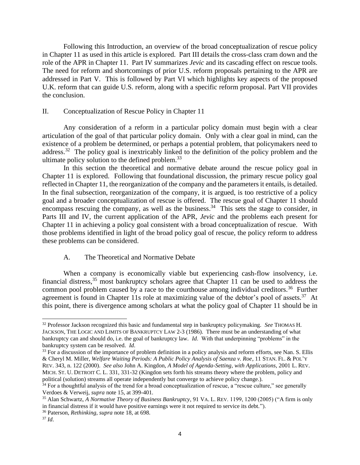Following this Introduction, an overview of the broad conceptualization of rescue policy in Chapter 11 as used in this article is explored. Part III details the cross-class cram down and the role of the APR in Chapter 11. Part IV summarizes *Jevic* and its cascading effect on rescue tools. The need for reform and shortcomings of prior U.S. reform proposals pertaining to the APR are addressed in Part V. This is followed by Part VI which highlights key aspects of the proposed U.K. reform that can guide U.S. reform, along with a specific reform proposal. Part VII provides the conclusion.

# II. Conceptualization of Rescue Policy in Chapter 11

Any consideration of a reform in a particular policy domain must begin with a clear articulation of the goal of that particular policy domain. Only with a clear goal in mind, can the existence of a problem be determined, or perhaps a potential problem, that policymakers need to address.<sup>32</sup> The policy goal is inextricably linked to the definition of the policy problem and the ultimate policy solution to the defined problem.<sup>33</sup>

In this section the theoretical and normative debate around the rescue policy goal in Chapter 11 is explored. Following that foundational discussion, the primary rescue policy goal reflected in Chapter 11, the reorganization of the company and the parameters it entails, is detailed. In the final subsection, reorganization of the company, it is argued, is too restrictive of a policy goal and a broader conceptualization of rescue is offered. The rescue goal of Chapter 11 should encompass rescuing the company, as well as the business.<sup>34</sup> This sets the stage to consider, in Parts III and IV, the current application of the APR, *Jevic* and the problems each present for Chapter 11 in achieving a policy goal consistent with a broad conceptualization of rescue. With those problems identified in light of the broad policy goal of rescue, the policy reform to address these problems can be considered.

# A. The Theoretical and Normative Debate

When a company is economically viable but experiencing cash-flow insolvency, i.e. financial distress,  $35$  most bankruptcy scholars agree that Chapter 11 can be used to address the common pool problem caused by a race to the courthouse among individual creditors.<sup>36</sup> Further agreement is found in Chapter 11s role at maximizing value of the debtor's pool of assets.<sup>37</sup> At this point, there is divergence among scholars at what the policy goal of Chapter 11 should be in

<sup>32</sup> Professor Jackson recognized this basic and fundamental step in bankruptcy policymaking. *See* THOMAS H. JACKSON, THE LOGIC AND LIMITS OF BANKRUPTCY LAW 2-3 (1986). There must be an understanding of what bankruptcy can and should do, i.e. the goal of bankruptcy law. *Id*. With that underpinning "problems" in the bankruptcy system can be resolved. *Id*.

<sup>&</sup>lt;sup>33</sup> For a discussion of the importance of problem definition in a policy analysis and reform efforts, see Nan. S. Ellis & Cheryl M. Miller, *Welfare Waiting Periods: A Public Policy Analysis of Saenza v. Roe*, 11 STAN. FL. & POL'Y REV. 343, n. 122 (2000). *See also* John A. Kingdon, *A Model of Agenda-Setting, with Applications*, 2001 L. REV. MICH. ST. U. DETROIT C. L. 331, 331-32 (Kingdon sets forth his streams theory where the problem, policy and political (solution) streams all operate independently but converge to achieve policy change.).

<sup>&</sup>lt;sup>34</sup> For a thoughtful analysis of the trend for a broad conceptualization of rescue, a "rescue culture," see generally Verdoes & Verweij, *supra* note 15, at 399-401.

<sup>35</sup> Alan Schwartz, *A Normative Theory of Business Bankruptcy*, 91 VA. L. REV. 1199, 1200 (2005) ("A firm is only in financial distress if it would have positive earnings were it not required to service its debt.").

<sup>36</sup> Paterson, *Rethinking, supra* note 18, at 698.

<sup>37</sup> *Id*.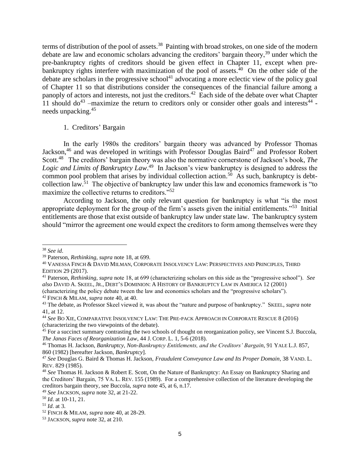terms of distribution of the pool of assets.<sup>38</sup> Painting with broad strokes, on one side of the modern debate are law and economic scholars advancing the creditors' bargain theory,<sup>39</sup> under which the pre-bankruptcy rights of creditors should be given effect in Chapter 11, except when prebankruptcy rights interfere with maximization of the pool of assets.<sup>40</sup> On the other side of the debate are scholars in the progressive school<sup>41</sup> advocating a more eclectic view of the policy goal of Chapter 11 so that distributions consider the consequences of the financial failure among a panoply of actors and interests, not just the creditors.<sup>42</sup> Each side of the debate over what Chapter 11 should  $d\sigma^{43}$  -maximize the return to creditors only or consider other goals and interests<sup>44</sup> needs unpacking.<sup>45</sup>

#### 1. Creditors' Bargain

In the early 1980s the creditors' bargain theory was advanced by Professor Thomas Jackson,<sup>46</sup> and was developed in writings with Professor Douglas Baird<sup>47</sup> and Professor Robert Scott.<sup>48</sup> The creditors' bargain theory was also the normative cornerstone of Jackson's book, *The* Logic and Limits of Bankruptcy Law.<sup>49</sup> In Jackson's view bankruptcy is designed to address the common pool problem that arises by individual collection action.<sup>50</sup> As such, bankruptcy is debtcollection law.<sup>51</sup> The objective of bankruptcy law under this law and economics framework is "to maximize the collective returns to creditors."<sup>52</sup>

According to Jackson, the only relevant question for bankruptcy is what "is the most appropriate deployment for the group of the firm's assets given the initial entitlements."<sup>53</sup> Initial entitlements are those that exist outside of bankruptcy law under state law. The bankruptcy system should "mirror the agreement one would expect the creditors to form among themselves were they

<sup>38</sup> *See id*.

<sup>39</sup> Paterson, *Rethinking, supra* note 18, at 699.

<sup>40</sup> VANESSA FINCH & DAVID MILMAN, CORPORATE INSOLVENCY LAW: PERSPECTIVES AND PRINCIPLES, THIRD EDITION 29 (2017).

<sup>41</sup> Paterson, *Rethinking, supra* note 18, at 699 (characterizing scholars on this side as the "progressive school"). *See also* DAVID A. SKEEL, JR., DEBT'S DOMINION: A HISTORY OF BANKRUPTCY LAW IN AMERICA 12 (2001)

<sup>(</sup>characterizing the policy debate tween the law and economics scholars and the "progressive scholars"). <sup>42</sup> FINCH & MILAM, *supra* note 40, at 40.

<sup>43</sup> The debate, as Professor Skeel viewed it, was about the "nature and purpose of bankruptcy." SKEEL, *supra* note 41, at 12.

<sup>44</sup> *See* BO XIE, COMPARATIVE INSOLVENCY LAW: THE PRE-PACK APPROACH IN CORPORATE RESCUE 8 (2016) (characterizing the two viewpoints of the debate).

 $45$  For a succinct summary contrasting the two schools of thought on reorganization policy, see Vincent S.J. Buccola, *The Janas Faces of Reorganization Law*, 44 J. CORP. L. 1, 5-6 (2018).

<sup>46</sup> Thomas H. Jackson, *Bankruptcy, Non-Bankruptcy Entitlements, and the Creditors' Bargain*, 91 YALE L.J. 857, 860 (1982) [hereafter Jackson, *Bankruptcy*].

<sup>47</sup> *See* Douglas G. Baird & Thomas H. Jackson, *Fraudulent Conveyance Law and Its Proper Domain*, 38 VAND. L. REV. 829 (1985).

<sup>48</sup> *See* Thomas H. Jackson & Robert E. Scott, On the Nature of Bankruptcy: An Essay on Bankruptcy Sharing and the Creditors' Bargain, 75 VA. L. REV. 155 (1989). For a comprehensive collection of the literature developing the creditors bargain theory, see Buccola, *supra* note 45, at 6, n.17.

<sup>49</sup> *See* JACKSON, *supra* note 32, at 21-22.

<sup>50</sup> *Id*. at 10-11, 21.

<sup>51</sup> *Id*. at 3.

<sup>52</sup> FINCH & MILAM, *supra* note 40, at 28-29.

<sup>53</sup> JACKSON, *supra* note 32, at 210.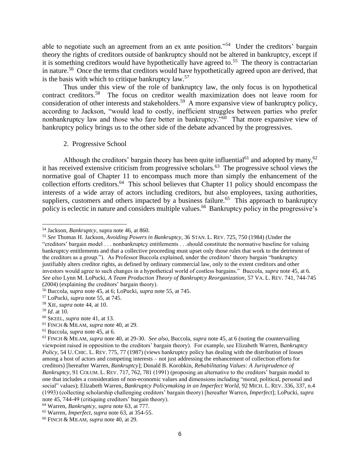able to negotiate such an agreement from an ex ante position."<sup>54</sup> Under the creditors' bargain theory the rights of creditors outside of bankruptcy should not be altered in bankruptcy, except if it is something creditors would have hypothetically have agreed to.<sup>55</sup> The theory is contractarian in nature.<sup>56</sup> Once the terms that creditors would have hypothetically agreed upon are derived, that is the basis with which to critique bankruptcy  $law<sub>57</sub>$ .

Thus under this view of the role of bankruptcy law, the only focus is on hypothetical contract creditors.<sup>58</sup> The focus on creditor wealth maximization does not leave room for consideration of other interests and stakeholders.<sup>59</sup> A more expansive view of bankruptcy policy, according to Jackson, "would lead to costly, inefficient struggles between parties who prefer nonbankruptcy law and those who fare better in bankruptcy."<sup>60</sup> That more expansive view of bankruptcy policy brings us to the other side of the debate advanced by the progressives.

2. Progressive School

Although the creditors' bargain theory has been quite influential<sup>61</sup> and adopted by many,<sup>62</sup> it has received extensive criticism from progressive scholars.<sup>63</sup> The progressive school views the normative goal of Chapter 11 to encompass much more than simply the enhancement of the collection efforts creditors.<sup>64</sup> This school believes that Chapter 11 policy should encompass the interests of a wide array of actors including creditors, but also employees, taxing authorities, suppliers, customers and others impacted by a business failure.<sup>65</sup> This approach to bankruptcy policy is eclectic in nature and considers multiple values.<sup>66</sup> Bankruptcy policy in the progressive's

<sup>62</sup> Buccola, *supra* note 45, at 6.

<sup>54</sup> Jackson, *Bankruptcy*, supra note 46, at 860.

<sup>55</sup> *See* Thomas H. Jackson, *Avoiding Powers in Bankruptcy*, 36 STAN. L. REV. 725, 750 (1984) (Under the "creditors' bargain model . . . nonbankruptcy entitlements . . .should constitute the normative baseline for valuing bankruptcy entitlements and that a collective proceeding must upset only those rules that work to the detriment of the creditors as a group."). As Professor Buccola explained, under the creditors' theory bargain "bankruptcy justifiably alters creditor rights, as defined by ordinary commercial law, only to the extent creditors and other investors would agree to such changes in a hypothetical world of costless bargains." Buccola, *supra* note 45, at 6. *See also* Lynn M. LoPucki, *A Team Production Theory of Bankruptcy Reorganization*, 57 VA. L. REV. 741, 744-745 (2004) (explaining the creditors' bargain theory).

<sup>56</sup> Buccola, *supra* note 45, at 6; LoPucki, *supra* note 55, at 745.

<sup>57</sup> LoPucki, *supra* note 55, at 745.

<sup>58</sup> XIE, *supra* note 44, at 10.

<sup>59</sup> *Id*. at 10.

<sup>60</sup> SKEEL, *supra* note 41, at 13.

<sup>61</sup> FINCH & MILAM, *supra* note 40, at 29.

<sup>63</sup> FINCH & MILAM, *supra* note 40, at 29-30. *See also*, Buccola, *supra* note 45, at 6 (noting the countervailing viewpoint raised in opposition to the creditors' bargain theory). For example, see Elizabeth Warren, B*ankruptcy Policy*, 54 U. CHIC. L. REV. 775, 77 (1987) (views bankruptcy policy has dealing with the distribution of losses among a host of actors and competing interests – not just addressing the enhancement of collection efforts for creditors) [hereafter Warren, *Bankruptcy*]; Donald B. Korobkin, *Rehabilitating Values: A Jurisprudence of Bankruptcy*, 91 COLUM. L. REV. 717, 762, 781 (1991) (proposing an alternative to the creditors' bargain model to one that includes a consideration of non-economic values and dimensions including "moral, political, personal and social" values); Elizabeth Warren, *Bankruptcy Policymaking in an Imperfect World*, 92 MICH. L. REV. 336, 337, n.4 (1993) (collecting scholarship challenging creditors' bargain theory) [hereafter Warren, *Imperfect*]; LoPucki, *supra* note 45, 744-49 (critiquing creditors' bargain theory).

<sup>64</sup> Warren, *Bankruptcy*, *supra* note 63, at 777.

<sup>65</sup> Warren, *Imperfect*, *supra* note 63, at 354-55.

<sup>66</sup> FINCH & MILAM, *supra* note 40, at 29.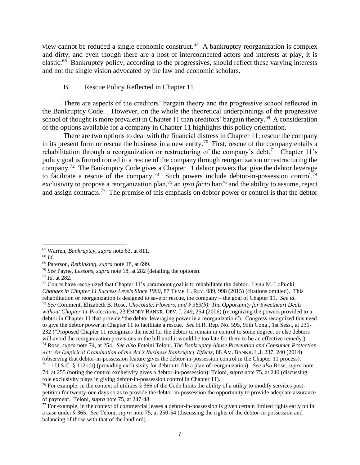view cannot be reduced a single economic construct.<sup>67</sup> A bankruptcy reorganization is complex and dirty, and even though there are a host of interconnected actors and interests at play, it is elastic.<sup>68</sup> Bankruptcy policy, according to the progressives, should reflect these varying interests and not the single vision advocated by the law and economic scholars.

# B. Rescue Policy Reflected in Chapter 11

There are aspects of the creditors' bargain theory and the progressive school reflected in the Bankruptcy Code. However, on the whole the theoretical underpinnings of the progressive school of thought is more prevalent in Chapter 11 than creditors' bargain theory.<sup>69</sup> A consideration of the options available for a company in Chapter 11 highlights this policy orientation.

There are two options to deal with the financial distress in Chapter 11: rescue the company in its present form or rescue the business in a new entity.<sup>70</sup> First, rescue of the company entails a rehabilitation through a reorganization or restructuring of the company's debt.<sup>71</sup> Chapter 11's policy goal is firmed rooted in a rescue of the company through reorganization or restructuring the company.<sup>72</sup> The Bankruptcy Code gives a Chapter 11 debtor powers that give the debtor leverage to facilitate a rescue of the company.<sup>73</sup> Such powers include debtor-in-possession control,<sup>74</sup> exclusivity to propose a reorganization plan,<sup>75</sup> an *ipso facto* ban<sup>76</sup> and the ability to assume, reject and assign contracts.<sup>77</sup> The premise of this emphasis on debtor power or control is that the debtor

<sup>67</sup> Warren, *Bankruptcy*, *supra* note 63, at 811.

<sup>68</sup> *Id*.

<sup>69</sup> Paterson, *Rethinking, supra* note 18, at 699.

<sup>70</sup> *See* Payne, *Lessons*, *supra* note 18, at 282 (detailing the options).

<sup>71</sup> *Id*. at 282.

 $72$  Courts have recognized that Chapter 11's paramount goal is to rehabilitate the debtor. Lynn M. LoPucki, *Changes in Chapter 11 Success Levels Since 1980*, 87 TEMP. L. REV. 989, 998 (2015) (citations omitted). This rehabilitation or reorganization is designed to save or rescue, the company – the goal of Chapter 11. *See id*. <sup>73</sup> *See* Comment, Elizabeth B. Rose, *Chocolate, Flowers, and § 363(b): The Opportunity for Sweetheart Deals without Chapter 11 Protections*, 23 EMORY BANKR. DEV. J. 249, 254 (2006) (recognizing the powers provided to a debtor in Chapter 11 that provide "the debtor leveraging power in a reorganization"). Congress recognized this need to give the debtor power in Chapter 11 to facilitate a rescue. *See* H.R. Rep. No. 595, 95th Cong., 1st Sess., at 231- 232 ("Proposed Chapter 11 recognizes the need for the debtor to remain in control to some degree, or else debtors will avoid the reorganization provisions in the bill until it would be too late for them to be an effective remedy.). <sup>74</sup> Rose, *supra* note 74, at 254. *See also* Foteini Teloni, *The Bankruptcy Abuse Prevention and Consumer Protection Act: An Empirical Examination of the Act's Business Bankruptcy Effects*, 88 AM. BANKR. L.J. 237, 240 (2014) (observing that debtor-in-possession feature gives the debtor-in-possession control in the Chapter 11 process).

<sup>75</sup> 11 U.S.C. § 1121(b) (providing exclusivity for debtor to file a plan of reorganization). *See also* Rose, *supra* note 74, at 255 (noting the control exclusivity gives a debtor-in-possession); Teloni, *supra* note 75, at 240 (discussing role exclusivity plays in giving debtor-in-possession control in Chapter 11).

<sup>&</sup>lt;sup>76</sup> For example, in the context of utilities  $\S$  366 of the Code limits the ability of a utility to modify services postpetition for twenty-one days so as to provide the debtor-in-possession the opportunity to provide adequate assurance of payment. Teloni, *supra* note 75, at 247-48.

 $77$  For example, in the context of commercial leases a debtor-in-possession is given certain limited rights early on in a case under § 365. *See* Teloni, *supra* note 75, at 250-54 (discussing the rights of the debtor-in-possession and balancing of those with that of the landlord).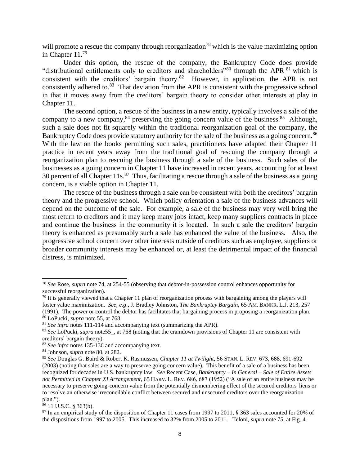will promote a rescue the company through reorganization<sup>78</sup> which is the value maximizing option in Chapter 11.<sup>79</sup>

Under this option, the rescue of the company, the Bankruptcy Code does provide "distributional entitlements only to creditors and shareholders"<sup>80</sup> through the APR <sup>81</sup> which is consistent with the creditors' bargain theory.<sup>82</sup> However, in application, the APR is not consistently adhered to.<sup>83</sup> That deviation from the APR is consistent with the progressive school in that it moves away from the creditors' bargain theory to consider other interests at play in Chapter 11.

The second option, a rescue of the business in a new entity, typically involves a sale of the company to a new company,  $84$  preserving the going concern value of the business.  $85$  Although, such a sale does not fit squarely within the traditional reorganization goal of the company, the Bankruptcy Code does provide statutory authority for the sale of the business as a going concern.<sup>86</sup> With the law on the books permitting such sales, practitioners have adapted their Chapter 11 practice in recent years away from the traditional goal of rescuing the company through a reorganization plan to rescuing the business through a sale of the business. Such sales of the businesses as a going concern in Chapter 11 have increased in recent years, accounting for at least 30 percent of all Chapter  $11s$ <sup>87</sup> Thus, facilitating a rescue through a sale of the business as a going concern, is a viable option in Chapter 11.

The rescue of the business through a sale can be consistent with both the creditors' bargain theory and the progressive school. Which policy orientation a sale of the business advances will depend on the outcome of the sale. For example, a sale of the business may very well bring the most return to creditors and it may keep many jobs intact, keep many suppliers contracts in place and continue the business in the community it is located. In such a sale the creditors' bargain theory is enhanced as presumably such a sale has enhanced the value of the business. Also, the progressive school concern over other interests outside of creditors such as employee, suppliers or broader community interests may be enhanced or, at least the detrimental impact of the financial distress, is minimized.

<sup>78</sup> *See* Rose, *supra* note 74, at 254-55 (observing that debtor-in-possession control enhances opportunity for successful reorganization).

 $79$  It is generally viewed that a Chapter 11 plan of reorganization process with bargaining among the players will foster value maximization. *See, e.g*., J. Bradley Johnston, *The Bankruptcy Bargain*, 65 AM. BANKR. L.J. 213, 257 (1991). The power or control the debtor has facilitates that bargaining process in proposing a reorganization plan. <sup>80</sup> LoPucki, *supra* note 55, at 768.

<sup>&</sup>lt;sup>81</sup> *See infra* notes 111-114 and accompanying text (summarizing the APR).

<sup>&</sup>lt;sup>82</sup> See LoPucki, *supra* note55, at 768 (noting that the cramdown provisions of Chapter 11 are consistent with creditors' bargain theory).

<sup>83</sup> *See infra* notes 135-136 and accompanying text.

<sup>84</sup> Johnson, *supra* note 80, at 282.

<sup>85</sup> *See* Douglas G. Baird & Robert K. Rasmussen, *Chapter 11 at Twilight*, 56 STAN. L. REV. 673, 688, 691-692 (2003) (noting that sales are a way to preserve going concern value). This benefit of a sale of a business has been recognized for decades in U.S. bankruptcy law. *See* Recent Case, *Bankruptcy – In General – Sale of Entire Assets not Permitted in Chapter XI Arrangement*, 65 HARV. L. REV. 686, 687 (1952) ("A sale of an entire business may be necessary to preserve going-concern value from the potentially dismembering effect of the secured creditors' liens or to resolve an otherwise irreconcilable conflict between secured and unsecured creditors over the reorganization plan.").

<sup>86</sup> 11 U.S.C. § 363(b).

<sup>&</sup>lt;sup>87</sup> In an empirical study of the disposition of Chapter 11 cases from 1997 to 2011, § 363 sales accounted for 20% of the dispositions from 1997 to 2005. This increased to 32% from 2005 to 2011. Teloni, *supra* note 75, at Fig. 4.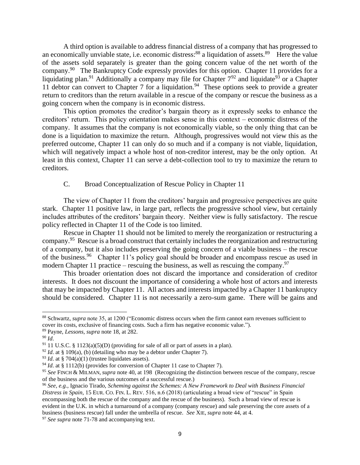A third option is available to address financial distress of a company that has progressed to an economically unviable state, i.e. economic distress:  $88$  a liquidation of assets.  $89$  Here the value of the assets sold separately is greater than the going concern value of the net worth of the company.<sup>90</sup> The Bankruptcy Code expressly provides for this option. Chapter 11 provides for a liquidating plan.<sup>91</sup> Additionally a company may file for Chapter  $7^{92}$  and liquidate<sup>93</sup> or a Chapter 11 debtor can convert to Chapter 7 for a liquidation.<sup>94</sup> These options seek to provide a greater return to creditors than the return available in a rescue of the company or rescue the business as a going concern when the company is in economic distress.

This option promotes the creditor's bargain theory as it expressly seeks to enhance the creditors' return. This policy orientation makes sense in this context – economic distress of the company. It assumes that the company is not economically viable, so the only thing that can be done is a liquidation to maximize the return. Although, progressives would not view this as the preferred outcome, Chapter 11 can only do so much and if a company is not viable, liquidation, which will negatively impact a whole host of non-creditor interest, may be the only option. At least in this context, Chapter 11 can serve a debt-collection tool to try to maximize the return to creditors.

# C. Broad Conceptualization of Rescue Policy in Chapter 11

The view of Chapter 11 from the creditors' bargain and progressive perspectives are quite stark. Chapter 11 positive law, in large part, reflects the progressive school view, but certainly includes attributes of the creditors' bargain theory. Neither view is fully satisfactory. The rescue policy reflected in Chapter 11 of the Code is too limited.

Rescue in Chapter 11 should not be limited to merely the reorganization or restructuring a company.<sup>95</sup> Rescue is a broad construct that certainly includes the reorganization and restructuring of a company, but it also includes preserving the going concern of a viable business – the rescue of the business.<sup>96</sup> Chapter 11's policy goal should be broader and encompass rescue as used in modern Chapter 11 practice – rescuing the business, as well as rescuing the company.<sup>97</sup>

This broader orientation does not discard the importance and consideration of creditor interests. It does not discount the importance of considering a whole host of actors and interests that may be impacted by Chapter 11. All actors and interests impacted by a Chapter 11 bankruptcy should be considered. Chapter 11 is not necessarily a zero-sum game. There will be gains and

<sup>88</sup> Schwartz, *supra* note 35, at 1200 ("Economic distress occurs when the firm cannot earn revenues sufficient to cover its costs, exclusive of financing costs. Such a firm has negative economic value.").

<sup>89</sup> Payne, *Lessons*, *supra* note 18, at 282.

<sup>90</sup> *Id*.

 $91$  11 U.S.C. § 1123(a)(5)(D) (providing for sale of all or part of assets in a plan).

 $92$  *Id.* at § 109(a), (b) (detailing who may be a debtor under Chapter 7).

<sup>&</sup>lt;sup>93</sup> *Id.* at § 704(a)(1) (trustee liquidates assets).

<sup>&</sup>lt;sup>94</sup> *Id.* at § 1112(b) (provides for conversion of Chapter 11 case to Chapter 7).

<sup>95</sup> *See* FINCH & MILMAN, *supra* note 40, at 198 (Recognizing the distinction between rescue of the company, rescue of the business and the various outcomes of a successful rescue.)

<sup>96</sup> *See, e.g.*, Ignacio Tirado, *Scheming against the Schemes: A New Framework to Deal with Business Financial Distress in Spain*, 15 EUR. CO. FIN. L. REV. 516, n.6 (2018) (articulating a broad view of "rescue" in Spain encompassing both the rescue of the company and the rescue of the business). Such a broad view of rescue is evident in the U.K. in which a turnaround of a company (company rescue) and sale preserving the core assets of a business (business rescue) fall under the umbrella of rescue. *See* XIE, *supra* note 44, at 4.

<sup>&</sup>lt;sup>97</sup> See supra note 71-78 and accompanying text.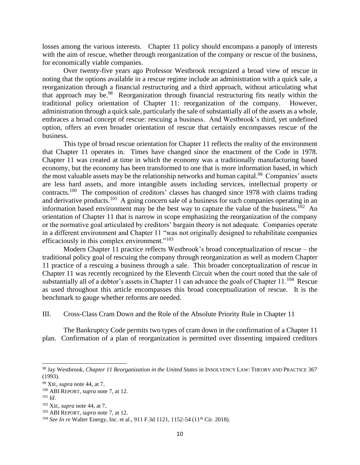losses among the various interests. Chapter 11 policy should encompass a panoply of interests with the aim of rescue, whether through reorganization of the company or rescue of the business, for economically viable companies.

Over twenty-five years ago Professor Westbrook recognized a broad view of rescue in noting that the options available in a rescue regime include an administration with a quick sale, a reorganization through a financial restructuring and a third approach, without articulating what that approach may be.<sup>98</sup> Reorganization through financial restructuring fits neatly within the traditional policy orientation of Chapter 11: reorganization of the company. However, administration through a quick sale, particularly the sale of substantially all of the assets as a whole, embraces a broad concept of rescue: rescuing a business. And Westbrook's third, yet undefined option, offers an even broader orientation of rescue that certainly encompasses rescue of the business.

This type of broad rescue orientation for Chapter 11 reflects the reality of the environment that Chapter 11 operates in. Times have changed since the enactment of the Code in 1978. Chapter 11 was created at time in which the economy was a traditionally manufacturing based economy, but the economy has been transformed to one that is more information based, in which the most valuable assets may be the relationship networks and human capital.<sup>99</sup> Companies' assets are less hard assets, and more intangible assets including services, intellectual property or contracts.<sup>100</sup> The composition of creditors' classes has changed since 1978 with claims trading and derivative products.<sup>101</sup> A going concern sale of a business for such companies operating in an information based environment may be the best way to capture the value of the business.<sup>102</sup> An orientation of Chapter 11 that is narrow in scope emphasizing the reorganization of the company or the normative goal articulated by creditors' bargain theory is not adequate. Companies operate in a different environment and Chapter 11 "was not originally designed to rehabilitate companies efficaciously in this complex environment."<sup>103</sup>

Modern Chapter 11 practice reflects Westbrook's broad conceptualization of rescue – the traditional policy goal of rescuing the company through reorganization as well as modern Chapter 11 practice of a rescuing a business through a sale. This broader conceptualization of rescue in Chapter 11 was recently recognized by the Eleventh Circuit when the court noted that the sale of substantially all of a debtor's assets in Chapter 11 can advance the goals of Chapter  $11.^{104}$  Rescue as used throughout this article encompasses this broad conceptualization of rescue. It is the benchmark to gauge whether reforms are needed.

III. Cross-Class Cram Down and the Role of the Absolute Priority Rule in Chapter 11

The Bankruptcy Code permits two types of cram down in the confirmation of a Chapter 11 plan. Confirmation of a plan of reorganization is permitted over dissenting impaired creditors

<sup>98</sup> Jay Westbrook, *Chapter 11 Reorganization in the United States* in INSOLVENCY LAW: THEORY AND PRACTICE 367 (1993).

<sup>99</sup> XIE, *supra* note 44, at 7.

<sup>100</sup> ABI REPORT, *supra* note 7, at 12.

<sup>101</sup> *Id*.

<sup>102</sup> XIE, *supra* note 44, at 7.

<sup>103</sup> ABI REPORT, *supra* note 7, at 12.

<sup>&</sup>lt;sup>104</sup> *See In re* Walter Energy, Inc. et al., 911 F.3d 1121, 1152-54 (11<sup>th</sup> Cir. 2018).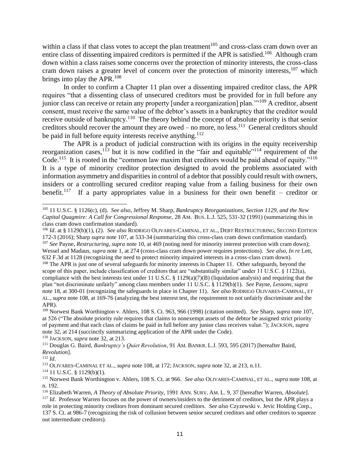within a class if that class votes to accept the plan treatment<sup>105</sup> and cross-class cram down over an entire class of dissenting impaired creditors is permitted if the APR is satisfied.<sup>106</sup> Although cram down within a class raises some concerns over the protection of minority interests, the cross-class cram down raises a greater level of concern over the protection of minority interests, <sup>107</sup> which brings into play the APR.<sup>108</sup>

In order to confirm a Chapter 11 plan over a dissenting impaired creditor class, the APR requires "that a dissenting class of unsecured creditors must be provided for in full before any junior class can receive or retain any property [under a reorganization] plan.'"<sup>109</sup> A creditor, absent consent, must receive the same value of the debtor's assets in a bankruptcy that the creditor would receive outside of bankruptcy.<sup>110</sup> The theory behind the concept of absolute priority is that senior creditors should recover the amount they are owed  $-$  no more, no less.<sup>111</sup> General creditors should be paid in full before equity interests receive anything.<sup>112</sup>

The APR is a product of judicial construction with its origins in the equity receivership reorganization cases,<sup>113</sup> but it is now codified in the "fair and equitable"<sup>114</sup> requirement of the Code.<sup>115</sup> It is rooted in the "common law maxim that creditors would be paid ahead of equity."<sup>116</sup> It is a type of minority creditor protection designed to avoid the problems associated with information asymmetry and disparities in control of a debtor that possibly could result with owners, insiders or a controlling secured creditor reaping value from a failing business for their own benefit.<sup>117</sup> If a party appropriates value in a business for their own benefit – creditor or

<sup>110</sup> JACKSON, *supra* note 32, at 213.

<sup>111</sup> Douglas G. Baird, *Bankruptcy's Quiet Revolution*, 91 AM. BANKR. L.J. 593, 595 (2017) [hereafter Baird, *Revolution*].

<sup>112</sup> *Id*.

<sup>113</sup> OLIVARES-CAMINAL ET AL., *supra* note 108, at 172; JACKSON, *supra* note 32, at 213, n.11.

 $114$  11 U.S.C. § 1129(b)(1).

<sup>105</sup> 11 U.S.C. § 1126(c), (d). *See also*, Jeffrey M. Sharp, *Bankruptcy Reorganizations, Section 1129, and the New Capital Quagmire: A Call for Congressional Response,* 28 AM. BUS. L.J. 525, 531-32 (1991) (summarizing this in class cram down confirmation standard).

<sup>106</sup> *Id*. at § 1129(b)(1), (2). *See also* RODRIGO OLIVARES-CAMINAL, ET AL., DEBT RESTRUCTURING, SECOND EDITION 172-3 (2016); Sharp *supra* note 107, at 533-34 (summarizing this cross-class cram down confirmation standard). <sup>107</sup> *See* Payne, *Restructuring*, *supra* note 10, at 469 (noting need for minority interest protection with cram down); Wessel and Madaus, *supra* note 1, at 274 (cross-class cram down power requires protections). *See also*, *In re* Lett, 632 F.3d at 1128 (recognizing the need to protect minority impaired interests in a cross-class cram down).

<sup>&</sup>lt;sup>108</sup> The APR is just one of several safeguards for minority interests in Chapter 11. Other safeguards, beyond the scope of this paper, include classification of creditors that are "substantially similar" under 11 U.S.C.  $\S$  1122(a), compliance with the best interests test under 11 U.S.C. § 1129(a)(7)(B) (liquidation analysis) and requiring that the plan "not discriminate unfairly" among class members under 11 U.S.C. § 1129(b)(1). *See* Payne, *Lessons, supra* note 18, at 300-01 (recognizing the safeguards in place in Chapter 11). *See also* RODRIGO OLIVARES-CAMINAL, ET AL., *supra* note 108, at 169-76 (analyzing the best interest test, the requirement to not unfairly discriminate and the APR).

<sup>109</sup> Norwest Bank Worthington v. Ahlers, 108 S. Ct. 963, 966 (1998) (citation omitted). *See* Sharp, *supra* note 107, at 526 ("The absolute priority rule requires that claims to nonexempt assets of the debtor be assigned strict priority of payment and that each class of claims be paid in full before any junior class receives value."); JACKSON, *supra* note 32, at 214 (succinctly summarizing application of the APR under the Code).

<sup>115</sup> Norwest Bank Worthington v. Ahlers, 108 S. Ct. at 966. *See also* OLIVARES-CAMINAL, ET AL., *supra* note 108, at n. 192.

<sup>116</sup> Elizabeth Warren, *A Theory of Absolute Priority*, 1991 ANN. SURV. AM. L. 9, 37 [hereafter Warren, *Absolute*]. <sup>117</sup> *Id.* Professor Warren focuses on the power of owners/insiders to the detriment of creditors, but the APR plays a role in protecting minority creditors from dominant secured creditors. *See also* Czyzewski v. Jevic Holding Corp., 137 S. Ct. at 986-7 (recognizing the risk of collusion between senior secured creditors and other creditors to squeeze out intermediate creditors).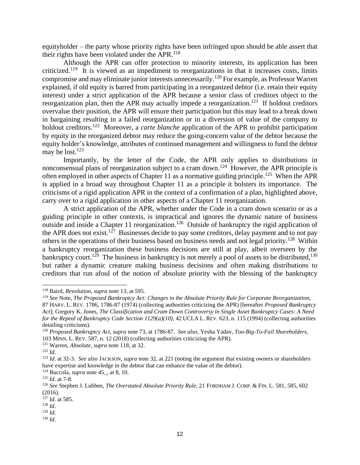equityholder – the party whose priority rights have been infringed upon should be able assert that their rights have been violated under the APR. $^{118}$ 

Although the APR can offer protection to minority interests, its application has been criticized.<sup>119</sup> It is viewed as an impediment to reorganizations in that it increases costs, limits compromise and may eliminate junior interests unnecessarily.<sup>120</sup> For example, as Professor Warren explained, if old equity is barred from participating in a reorganized debtor (i.e. retain their equity interest) under a strict application of the APR because a senior class of creditors object to the reorganization plan, then the APR may actually impede a reorganization.<sup>121</sup> If holdout creditors overvalue their position, the APR will ensure their participation but this may lead to a break down in bargaining resulting in a failed reorganization or in a diversion of value of the company to holdout creditors.<sup>122</sup> Moreover, a *carte blanche* application of the APR to prohibit participation by equity in the reorganized debtor may reduce the going-concern value of the debtor because the equity holder's knowledge, attributes of continued management and willingness to fund the debtor may be lost.<sup>123</sup>

Importantly, by the letter of the Code, the APR only applies to distributions in nonconsensual plans of reorganization subject to a cram down.<sup>124</sup> However, the APR principle is often employed in other aspects of Chapter 11 as a normative guiding principle.<sup>125</sup> When the APR is applied in a broad way throughout Chapter 11 as a principle it bolsters its importance. The criticisms of a rigid application APR in the context of a confirmation of a plan, highlighted above, carry over to a rigid application in other aspects of a Chapter 11 reorganization.

A strict application of the APR, whether under the Code in a cram down scenario or as a guiding principle in other contexts, is impractical and ignores the dynamic nature of business outside and inside a Chapter 11 reorganization.<sup>126</sup> Outside of bankruptcy the rigid application of the APR does not exist.<sup>127</sup> Businesses decide to pay some creditors, delay payment and to not pay others in the operations of their business based on business needs and not legal priority.<sup>128</sup> Within a bankruptcy reorganization these business decisions are still at play, albeit overseen by the bankruptcy court.<sup>129</sup> The business in bankruptcy is not merely a pool of assets to be distributed,<sup>130</sup> but rather a dynamic creature making business decisions and often making distributions to creditors that run afoul of the notion of absolute priority with the blessing of the bankruptcy

<sup>118</sup> Baird, *Revolution*, *supra* note 13, at 595.

<sup>119</sup> *See* Note, *The Proposed Bankruptcy Act: Changes in the Absolute Priority Rule for Corporate Reorganization*,

<sup>87</sup> HARV. L. REV. 1786, 1786-87 (1974) (collecting authorities criticizing the APR) [hereafter *Proposed Bankruptcy Act*]; Gregory K. Jones, *The Classification and Cram Down Controversy in Single Asset Bankruptcy Cases: A Need for the Repeal of Bankruptcy Code Section 1129(a)(10)*, 42 UCLA L. REV. 623, n. 115 (1994) (collecting authorities detailing criticisms).

<sup>120</sup> *Proposed Bankruptcy Act*, *supra* note 73, at 1786-87. *See also*, Yesha Yadav, *Too-Big-To-Fail Shareholders*, 103 MINN. L. REV. 587, n. 12 (2018) (collecting authorities criticizing the APR).

<sup>121</sup> Warren, *Absolute*, *supra* note 118, at 32.

<sup>122</sup> *Id*.

<sup>123</sup> *Id*. at 32-3. *See also* JACKSON, *supra* note 32, at 221 (noting the argument that existing owners or shareholders have expertise and knowledge in the debtor that can enhance the value of the debtor).

<sup>124</sup> Buccola, *supra* note 45\_, at 8, 10.

<sup>125</sup> *Id*. at 7-8.

<sup>126</sup> *See* Stephen J. Lubben, *The Overstated Absolute Priority Rule*, 21 FORDHAM J. CORP. & FIN. L. 581, 585, 602 (2016).

<sup>127</sup> *Id*. at 585.

<sup>128</sup> *Id*.

<sup>129</sup> *Id*.

<sup>130</sup> *Id*.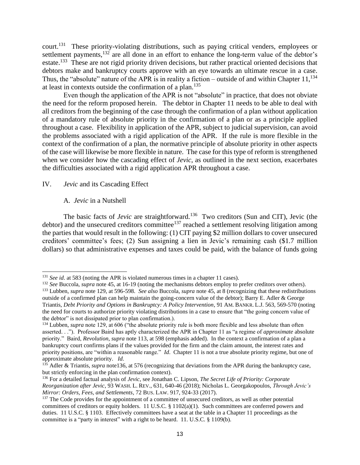court.<sup>131</sup> These priority-violating distributions, such as paying critical venders, employees or settlement payments,<sup>132</sup> are all done in an effort to enhance the long-term value of the debtor's estate.<sup>133</sup> These are not rigid priority driven decisions, but rather practical oriented decisions that debtors make and bankruptcy courts approve with an eye towards an ultimate rescue in a case. Thus, the "absolute" nature of the APR is in reality a fiction – outside of and within Chapter  $11$ ,  $^{134}$ at least in contexts outside the confirmation of a plan.<sup>135</sup>

Even though the application of the APR is not "absolute" in practice, that does not obviate the need for the reform proposed herein. The debtor in Chapter 11 needs to be able to deal with all creditors from the beginning of the case through the confirmation of a plan without application of a mandatory rule of absolute priority in the confirmation of a plan or as a principle applied throughout a case. Flexibility in application of the APR, subject to judicial supervision, can avoid the problems associated with a rigid application of the APR. If the rule is more flexible in the context of the confirmation of a plan, the normative principle of absolute priority in other aspects of the case will likewise be more flexible in nature. The case for this type of reform is strengthened when we consider how the cascading effect of *Jevic*, as outlined in the next section, exacerbates the difficulties associated with a rigid application APR throughout a case.

# IV. *Jevic* and its Cascading Effect

#### A. *Jevic* in a Nutshell

The basic facts of *Jevic* are straightforward.<sup>136</sup> Two creditors (Sun and CIT), Jevic (the debtor) and the unsecured creditors committee<sup>137</sup> reached a settlement resolving litigation among the parties that would result in the following: (1) CIT paying \$2 million dollars to cover unsecured creditors' committee's fees; (2) Sun assigning a lien in Jevic's remaining cash (\$1.7 million dollars) so that administrative expenses and taxes could be paid, with the balance of funds going

<sup>131</sup> *See id*. at 583 (noting the APR is violated numerous times in a chapter 11 cases).

<sup>&</sup>lt;sup>132</sup> *See* Buccola, *supra* note 45, at 16-19 (noting the mechanisms debtors employ to prefer creditors over others). <sup>133</sup> Lubben, *supra* note 129, at 596-598. *See also* Buccola, *supra* note 45, at 8 (recognizing that these redistributions outside of a confirmed plan can help maintain the going-concern value of the debtor); Barry E. Adler & George Triantis, *Debt Priority and Options in Bankruptcy: A Policy Intervention*, 91 AM. BANKR. L.J. 563, 569-570 (noting the need for courts to authorize priority violating distributions in a case to ensure that "the going concern value of the debtor" is not dissipated prior to plan confirmation.).

<sup>&</sup>lt;sup>134</sup> Lubben, *supra* note 129, at 606 ("the absolute priority rule is both more flexible and less absolute than often asserted. . ."). Professor Baird has aptly characterized the APR in Chapter 11 as "a regime of *approximate* absolute priority." Baird, *Revolution*, *supra* note 113, at 598 (emphasis added). In the context a confirmation of a plan a bankruptcy court confirms plans if the values provided for the firm and the claim amount, the interest rates and priority positions, are "within a reasonable range." *Id*. Chapter 11 is not a true absolute priority regime, but one of approximate absolute priority. *Id.*

<sup>&</sup>lt;sup>135</sup> Adler & Triantis, *supra* note136, at 576 (recognizing that deviations from the APR during the bankruptcy case, but strictly enforcing in the plan confirmation context).

<sup>136</sup> For a detailed factual analysis of *Jevic*, see Jonathan C. Lipson, *The Secret Life of Priority: Corporate Reorganization after Jevic*, 93 WASH. L. REV., 631, 640-46 (2018); Nicholas L. Georgakopoulos, *Through Jevic's Mirror: Orders, Fees, and Settlements*, 72 BUS. LAW. 917, 924-33 (2017).

<sup>&</sup>lt;sup>137</sup> The Code provides for the appointment of a committee of unsecured creditors, as well as other potential committees of creditors or equity holders. 11 U.S.C. § 1102(a)(1). Such committees are conferred powers and duties. 11 U.S.C. § 1103. Effectively committees have a seat at the table in a Chapter 11 proceedings as the committee is a "party in interest" with a right to be heard. 11. U.S.C. § 1109(b).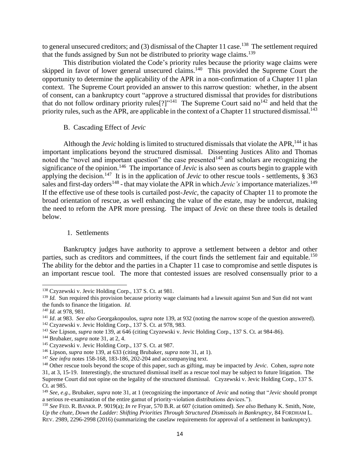to general unsecured creditors; and  $(3)$  dismissal of the Chapter 11 case.<sup>138</sup> The settlement required that the funds assigned by Sun not be distributed to priority wage claims.<sup>139</sup>

This distribution violated the Code's priority rules because the priority wage claims were skipped in favor of lower general unsecured claims.<sup>140</sup> This provided the Supreme Court the opportunity to determine the applicability of the APR in a non-confirmation of a Chapter 11 plan context. The Supreme Court provided an answer to this narrow question: whether, in the absent of consent, can a bankruptcy court "approve a structured dismissal that provides for distributions that do not follow ordinary priority rules<sup>[?]"<sup>141</sup> The Supreme Court said no<sup>142</sup> and held that the</sup> priority rules, such as the APR, are applicable in the context of a Chapter 11 structured dismissal.<sup>143</sup>

#### B. Cascading Effect of *Jevic*

Although the *Jevic* holding is limited to structured dismissals that violate the APR,<sup>144</sup> it has important implications beyond the structured dismissal. Dissenting Justices Alito and Thomas noted the "novel and important question" the case presented<sup>145</sup> and scholars are recognizing the significance of the opinion. <sup>146</sup> The importance of *Jevic* is also seen as courts begin to grapple with applying the decision.<sup>147</sup> It is in the application of *Jevic* to other rescue tools - settlements,  $\S 363$ sales and first-day orders<sup>148</sup> - that may violate the APR in which *Jevic's* importance materializes.<sup>149</sup> If the effective use of these tools is curtailed post-*Jevic*, the capacity of Chapter 11 to promote the broad orientation of rescue, as well enhancing the value of the estate, may be undercut, making the need to reform the APR more pressing. The impact of *Jevic* on these three tools is detailed below.

#### 1. Settlements

Bankruptcy judges have authority to approve a settlement between a debtor and other parties, such as creditors and committees, if the court finds the settlement fair and equitable.<sup>150</sup> The ability for the debtor and the parties in a Chapter 11 case to compromise and settle disputes is an important rescue tool. The more that contested issues are resolved consensually prior to a

<sup>142</sup> Czyzewski v. Jevic Holding Corp., 137 S. Ct. at 978, 983.

<sup>138</sup> Czyzewski v. Jevic Holding Corp., 137 S. Ct. at 981.

<sup>&</sup>lt;sup>139</sup> *Id.* Sun required this provision because priority wage claimants had a lawsuit against Sun and Sun did not want the funds to finance the litigation. *Id.* 

*<sup>140</sup> Id.* at 978, 981.

<sup>141</sup> *Id*. at 983. *See also* Georgakopoulos, *supra* note 139, at 932 (noting the narrow scope of the question answered).

<sup>143</sup> *See* Lipson, *supra* note 139, at 646 (citing Czyzewski v. Jevic Holding Corp., 137 S. Ct. at 984-86).

<sup>144</sup> Brubaker, *supra* note 31, at 2, 4.

<sup>145</sup> Czyzewski v. Jevic Holding Corp., 137 S. Ct. at 987.

<sup>146</sup> Lipson, *supra* note 139, at 633 (citing Brubaker, *supra* note 31, at 1).

<sup>&</sup>lt;sup>147</sup> *See infra* notes 158-168, 183-186, 202-204 and accompanying text.

<sup>148</sup> Other rescue tools beyond the scope of this paper, such as gifting, may be impacted by *Jevic*. Cohen, *supra* note 31, at 3, 15-19. Interestingly, the structured dismissal itself as a rescue tool may be subject to future litigation. The Supreme Court did not opine on the legality of the structured dismissal. Czyzewski v. Jevic Holding Corp., 137 S. Ct. at 985.

<sup>149</sup> *See, e.g.,* Brubaker, *supra* note 31, at 1 (recognizing the importance of *Jevic* and noting that "*Jevic* should prompt a serious re-examination of the entire gamut of priority-violation distributions devices.").

<sup>150</sup> *See* FED. R. BANKR. P. 9019(a); *In re* Fryar, 570 B.R. at 607 (citation omitted). *See also* Bethany K. Smith, Note, *Up the chute, Down the Ladder: Shifting Priorities Through Structured Dismissals in Bankruptcy*, 84 FORDHAM L. REV. 2989, 2296-2998 (2016) (summarizing the caselaw requirements for approval of a settlement in bankruptcy).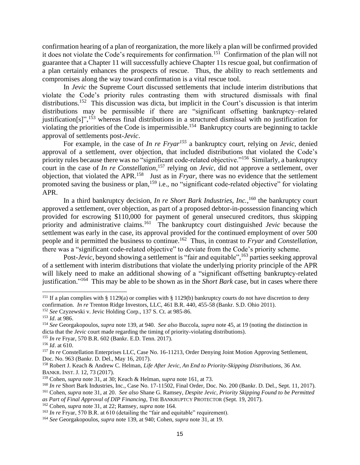confirmation hearing of a plan of reorganization, the more likely a plan will be confirmed provided it does not violate the Code's requirements for confirmation.<sup>151</sup> Confirmation of the plan will not guarantee that a Chapter 11 will successfully achieve Chapter 11s rescue goal, but confirmation of a plan certainly enhances the prospects of rescue. Thus, the ability to reach settlements and compromises along the way toward confirmation is a vital rescue tool.

In *Jevic* the Supreme Court discussed settlements that include interim distributions that violate the Code's priority rules contrasting them with structured dismissals with final distributions.<sup>152</sup> This discussion was dicta, but implicit in the Court's discussion is that interim distributions may be permissible if there are "significant offsetting bankruptcy–related justification[s]",<sup>153</sup> whereas final distributions in a structured dismissal with no justification for violating the priorities of the Code is impermissible.<sup>154</sup> Bankruptcy courts are beginning to tackle approval of settlements post-*Jevic*.

For example, in the case of *In re Fryar<sup>155</sup>* a bankruptcy court, relying on *Jevic,* denied approval of a settlement, over objection, that included distributions that violated the Code's priority rules because there was no "significant code-related objective."<sup>156</sup> Similarly, a bankruptcy court in the case of *In re Constellation*, <sup>157</sup> relying on *Jevic*, did not approve a settlement, over objection, that violated the APR. 158 Just as in *Fryar*, there was no evidence that the settlement promoted saving the business or plan,<sup>159</sup> i.e., no "significant code-related objective" for violating APR.

In a third bankruptcy decision, *In re Short Bark Industries, Inc.*, <sup>160</sup> the bankruptcy court approved a settlement, over objection, as part of a proposed debtor-in-possession financing which provided for escrowing \$110,000 for payment of general unsecured creditors, thus skipping priority and administrative claims.<sup>161</sup> The bankruptcy court distinguished *Jevic* because the settlement was early in the case, its approval provided for the continued employment of over 500 people and it permitted the business to continue.<sup>162</sup> Thus, in contrast to *Fryar* and *Constellation*, there was a "significant code-related objective" to deviate from the Code's priority scheme.

Post-*Jevic*, beyond showing a settlement is "fair and equitable", <sup>163</sup> parties seeking approval of a settlement with interim distributions that violate the underlying priority principle of the APR will likely need to make an additional showing of a "significant offsetting bankruptcy-related justification." 164 This may be able to be shown as in the *Short Bark* case, but in cases where there

<sup>&</sup>lt;sup>151</sup> If a plan complies with § 1129(a) or complies with § 1129(b) bankruptcy courts do not have discretion to deny confirmation. *In re* Trenton Ridge Investors, LLC, 461 B.R. 440, 455-58 (Bankr. S.D. Ohio 2011).

<sup>152</sup> *See* Czyzewski v. Jevic Holding Corp., 137 S. Ct. at 985-86.

<sup>153</sup> *Id*. at 986.

<sup>154</sup> *See* Georgakopoulos, *supra* note 139, at 940*. See also* Buccola, *supra* note 45, at 19 (noting the distinction in dicta that the *Jevic* court made regarding the timing of priority-violating distributions).

<sup>155</sup> *In re* Fryar, 570 B.R. 602 (Bankr. E.D. Tenn. 2017).

<sup>156</sup> *Id*. at 610.

<sup>&</sup>lt;sup>157</sup> *In re* Constellation Enterprises LLC, Case No. 16-11213, Order Denying Joint Motion Approving Settlement, Doc. No. 963 (Bankr. D. Del., May 16, 2017).

<sup>158</sup> Robert J. Keach & Andrew C. Helman, *Life After Jevic, An End to Priority-Skipping Distributions*, 36 AM. BANKR. INST. J. 12, 73 (2017).

<sup>159</sup> Cohen, *supra* note 31, at 30; Keach & Helman, *supra* note 161, at 73.

<sup>160</sup> *In re* Short Bark Industries, Inc., Case No. 17-11502, Final Order, Doc. No. 200 (Bankr. D. Del., Sept. 11, 2017).

<sup>161</sup> Cohen, *supra* note 31, at 20. *See also* Shane G. Ramsey, *Despite Jevic, Priority Skipping Found to be Permitted as Part of Final Approval of DIP Financing*, THE BANKRUPTCY PROTECTOR (Sept. 19, 2017).

<sup>162</sup> Cohen, *supra* note 31, at 22; Ramsey, *supra* note 164.

<sup>&</sup>lt;sup>163</sup> *In re* Fryar, 570 B.R. at 610 (detailing the "fair and equitable" requirement).

<sup>164</sup> *See* Georgakopoulos, *supra* note 139, at 940; Cohen, *supra* note 31, at 19.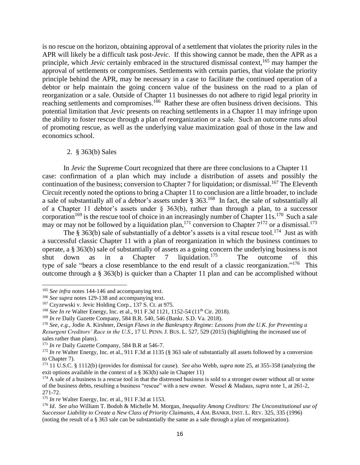is no rescue on the horizon, obtaining approval of a settlement that violates the priority rules in the APR will likely be a difficult task post-*Jevic*. If this showing cannot be made, then the APR as a principle, which *Jevic* certainly embraced in the structured dismissal context,<sup>165</sup> may hamper the approval of settlements or compromises. Settlements with certain parties, that violate the priority principle behind the APR, may be necessary in a case to facilitate the continued operation of a debtor or help maintain the going concern value of the business on the road to a plan of reorganization or a sale. Outside of Chapter 11 businesses do not adhere to rigid legal priority in reaching settlements and compromises.<sup>166</sup> Rather these are often business driven decisions. This potential limitation that *Jevic* presents on reaching settlements in a Chapter 11 may infringe upon the ability to foster rescue through a plan of reorganization or a sale. Such an outcome runs afoul of promoting rescue, as well as the underlying value maximization goal of those in the law and economics school.

# 2. § 363(b) Sales

In *Jevic* the Supreme Court recognized that there are three conclusions to a Chapter 11 case: confirmation of a plan which may include a distribution of assets and possibly the continuation of the business; conversion to Chapter 7 for liquidation; or dismissal.<sup>167</sup> The Eleventh Circuit recently noted the options to bring a Chapter 11 to conclusion are a little broader, to include a sale of substantially all of a debtor's assets under § 363.<sup>168</sup> In fact, the sale of substantially all of a Chapter 11 debtor's assets under  $\S$  363(b), rather than through a plan, to a successor corporation<sup>169</sup> is the rescue tool of choice in an increasingly number of Chapter 11s.<sup>170</sup> Such a sale may or may not be followed by a liquidation plan,  $^{171}$  conversion to Chapter  $7^{172}$  or a dismissal.  $^{173}$ 

The § 363(b) sale of substantially of a debtor's assets is a vital rescue tool.<sup>174</sup> Just as with a successful classic Chapter 11 with a plan of reorganization in which the business continues to operate, a § 363(b) sale of substantially of assets as a going concern the underlying business is not shut down as in a Chapter 7 liquidation.<sup>175</sup> The outcome of this type of sale "bears a close resemblance to the end result of a classic reorganization."<sup>176</sup> This outcome through a § 363(b) is quicker than a Chapter 11 plan and can be accomplished without

<sup>&</sup>lt;sup>165</sup> See infra notes 144-146 and accompanying text.

<sup>166</sup> *See supra* notes 129-138 and accompanying text.

<sup>167</sup> Czyzewski v. Jevic Holding Corp., 137 S. Ct. at 975.

<sup>&</sup>lt;sup>168</sup> *See In re* Walter Energy, Inc. et al., 911 F.3d 1121, 1152-54 (11<sup>th</sup> Cir. 2018).

<sup>169</sup> *In re* Daily Gazette Company, 584 B.R. 540, 546 (Bankr. S.D. Va. 2018).

<sup>170</sup> *See, e.g.,* Jodie A. Kirshner, *Design Flaws in the Bankruptcy Regime: Lessons from the U.K. for Preventing a Resurgent Creditors' Race in the U.S*., 17 U. PENN. J. BUS. L. 527, 529 (2015) (highlighting the increased use of sales rather than plans).

<sup>&</sup>lt;sup>171</sup> *In re* Daily Gazette Company, 584 B.R at 546-7.

<sup>&</sup>lt;sup>172</sup> *In re* Walter Energy, Inc. et al., 911 F.3d at 1135 (§ 363 sale of substantially all assets followed by a conversion to Chapter 7).

<sup>173</sup> 11 U.S.C. § 1112(b) (provides for dismissal for cause). *See also* Webb, *supra* note 25, at 355-358 (analyzing the exit options available in the context of a § 363(b) sale in Chapter 11)

 $174$  A sale of a business is a rescue tool in that the distressed business is sold to a stronger owner without all or some of the business debts, resulting a business "rescue" with a new owner. Wessel & Madaus, *supra* note 1, at 261-2, 271-72.

<sup>175</sup> *In re* Walter Energy, Inc. et al., 911 F.3d at 1153.

<sup>176</sup> *Id*. *See also* William T. Bodoh & Michelle M. Morgan, *Inequality Among Creditors: The Unconstitutional use of Successor Liability to Create a New Class of Priority Claimants*, 4 AM. BANKR. INST. L. REV. 325, 335 (1996) (noting the result of a § 363 sale can be substantially the same as a sale through a plan of reorganization).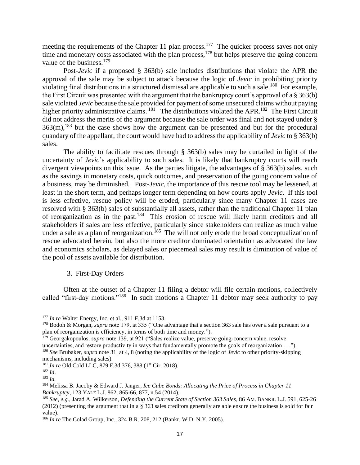meeting the requirements of the Chapter 11 plan process.<sup>177</sup> The quicker process saves not only time and monetary costs associated with the plan process,  $178$  but helps preserve the going concern value of the business.<sup>179</sup>

Post-*Jevic* if a proposed § 363(b) sale includes distributions that violate the APR the approval of the sale may be subject to attack because the logic of *Jevic* in prohibiting priority violating final distributions in a structured dismissal are applicable to such a sale.<sup>180</sup> For example, the First Circuit was presented with the argument that the bankruptcy court's approval of a § 363(b) sale violated *Jevic* because the sale provided for payment of some unsecured claims without paying higher priority administrative claims. <sup>181</sup> The distributions violated the APR. <sup>182</sup> The First Circuit did not address the merits of the argument because the sale order was final and not stayed under §  $363(m)$ ,  $^{183}$  but the case shows how the argument can be presented and but for the procedural quandary of the appellant, the court would have had to address the applicability of *Jevic* to § 363(b) sales.

The ability to facilitate rescues through § 363(b) sales may be curtailed in light of the uncertainty of *Jevic*'s applicability to such sales. It is likely that bankruptcy courts will reach divergent viewpoints on this issue. As the parties litigate, the advantages of § 363(b) sales, such as the savings in monetary costs, quick outcomes, and preservation of the going concern value of a business, may be diminished. Post-*Jevic*, the importance of this rescue tool may be lessened, at least in the short term, and perhaps longer term depending on how courts apply *Jevic*. If this tool is less effective, rescue policy will be eroded, particularly since many Chapter 11 cases are resolved with § 363(b) sales of substantially all assets, rather than the traditional Chapter 11 plan of reorganization as in the past.<sup>184</sup> This erosion of rescue will likely harm creditors and all stakeholders if sales are less effective, particularly since stakeholders can realize as much value under a sale as a plan of reorganization.<sup>185</sup> The will not only erode the broad conceptualization of rescue advocated herein, but also the more creditor dominated orientation as advocated the law and economics scholars, as delayed sales or piecemeal sales may result is diminution of value of the pool of assets available for distribution.

#### 3. First-Day Orders

Often at the outset of a Chapter 11 filing a debtor will file certain motions, collectively called "first-day motions."<sup>186</sup> In such motions a Chapter 11 debtor may seek authority to pay

<sup>177</sup> *In re* Walter Energy, Inc. et al., 911 F.3d at 1153.

<sup>178</sup> Bodoh & Morgan, *supra* note 179, at 335 ("One advantage that a section 363 sale has over a sale pursuant to a plan of reorganization is efficiency, in terms of both time and money.").

<sup>179</sup> Georgakopoulos, *supra* note 139, at 921 ("Sales realize value, preserve going-concern value, resolve

uncertainties, and restore productivity in ways that fundamentally promote the goals of reorganization . . ."). <sup>180</sup> *See* Brubaker, *supra* note 31, at 4, 8 (noting the applicability of the logic of *Jevic* to other priority-skipping mechanisms, including sales).

<sup>&</sup>lt;sup>181</sup> *In re* Old Cold LLC, 879 F.3d 376, 388 (1<sup>st</sup> Cir. 2018).

<sup>182</sup> *Id*.

<sup>183</sup> *Id.*

<sup>184</sup> Melissa B. Jacoby & Edward J. Janger*, Ice Cube Bonds: Allocating the Price of Process in Chapter 11 Bankruptcy*, 123 YALE L.J. 862, 865-66, 877, n.54 (2014).

<sup>185</sup> *See, e.g.,* Jarad A. Wilkerson, *Defending the Current State of Section 363 Sales*, 86 AM. BANKR. L.J. 591, 625-26 (2012) (presenting the argument that in a § 363 sales creditors generally are able ensure the business is sold for fair value).

<sup>186</sup> *In re* The Colad Group, Inc., 324 B.R. 208, 212 (Bankr. W.D. N.Y. 2005).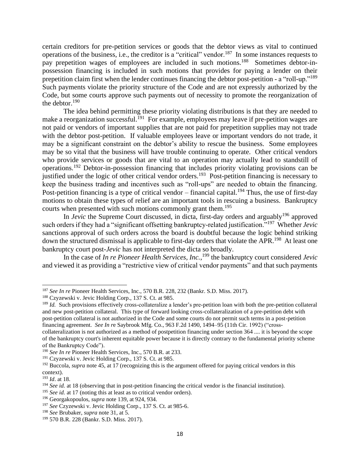certain creditors for pre-petition services or goods that the debtor views as vital to continued operations of the business, i.e., the creditor is a "critical" vendor.<sup>187</sup> In some instances requests to pay prepetition wages of employees are included in such motions.<sup>188</sup> Sometimes debtor-inpossession financing is included in such motions that provides for paying a lender on their prepetition claim first when the lender continues financing the debtor post-petition - a "roll-up."<sup>189</sup> Such payments violate the priority structure of the Code and are not expressly authorized by the Code, but some courts approve such payments out of necessity to promote the reorganization of the debtor. $190$ 

The idea behind permitting these priority violating distributions is that they are needed to make a reorganization successful.<sup>191</sup> For example, employees may leave if pre-petition wages are not paid or vendors of important supplies that are not paid for prepetition supplies may not trade with the debtor post-petition. If valuable employees leave or important vendors do not trade, it may be a significant constraint on the debtor's ability to rescue the business. Some employees may be so vital that the business will have trouble continuing to operate. Other critical vendors who provide services or goods that are vital to an operation may actually lead to standstill of operations.<sup>192</sup> Debtor-in-possession financing that includes priority violating provisions can be justified under the logic of other critical vendor orders.<sup>193</sup> Post-petition financing is necessary to keep the business trading and incentives such as "roll-ups" are needed to obtain the financing. Post-petition financing is a type of critical vendor – financial capital.<sup>194</sup> Thus, the use of first-day motions to obtain these types of relief are an important tools in rescuing a business. Bankruptcy courts when presented with such motions commonly grant them.<sup>195</sup>

In *Jevic* the Supreme Court discussed, in dicta, first-day orders and arguably<sup>196</sup> approved such orders if they had a "significant offsetting bankruptcy-related justification."<sup>197</sup> Whether *Jevic* sanctions approval of such orders across the board is doubtful because the logic behind striking down the structured dismissal is applicable to first-day orders that violate the APR.<sup>198</sup> At least one bankruptcy court post-*Jevic* has not interpreted the dicta so broadly.

In the case of *In re Pioneer Health Services, Inc.*, <sup>199</sup> the bankruptcy court considered *Jevic* and viewed it as providing a "restrictive view of critical vendor payments" and that such payments

<sup>187</sup> *See In re* Pioneer Health Services, Inc., 570 B.R. 228, 232 (Bankr. S.D. Miss. 2017).

<sup>188</sup> Czyzewski v. Jevic Holding Corp., 137 S. Ct. at 985.

<sup>&</sup>lt;sup>189</sup> *Id.* Such provisions effectively cross-collateralize a lender's pre-petition loan with both the pre-petition collateral and new post-petition collateral. This type of forward looking cross-collateralization of a pre-petition debt with post-petition collateral is not authorized in the Code and some courts do not permit such terms in a post-petition financing agreement. *See In r*e Saybrook Mfg. Co., 963 F.2d 1490, 1494–95 (11th Cir. 1992) ("cross-

collateralization is not authorized as a method of postpetition financing under section 364 .... it is beyond the scope of the bankruptcy court's inherent equitable power because it is directly contrary to the fundamental priority scheme of the Bankruptcy Code").

<sup>190</sup> *See In re* Pioneer Health Services, Inc., 570 B.R. at 233.

<sup>191</sup> Czyzewski v. Jevic Holding Corp., 137 S. Ct. at 985.

<sup>&</sup>lt;sup>192</sup> Buccola, *supra* note 45, at 17 (recognizing this is the argument offered for paying critical vendors in this context).

<sup>193</sup> *Id*. at 18.

<sup>194</sup> *See id.* at 18 (observing that in post-petition financing the critical vendor is the financial institution).

<sup>195</sup> *See id.* at 17 (noting this at least as to critical vendor orders).

<sup>196</sup> Georgakopoulos, *supra* note 139, at 924, 934.

<sup>197</sup> *See* Czyzewski v. Jevic Holding Corp., 137 S. Ct. at 985-6.

<sup>198</sup> *See* Brubaker, *supra* note 31, at 5.

<sup>199</sup> 570 B.R. 228 (Bankr. S.D. Miss. 2017).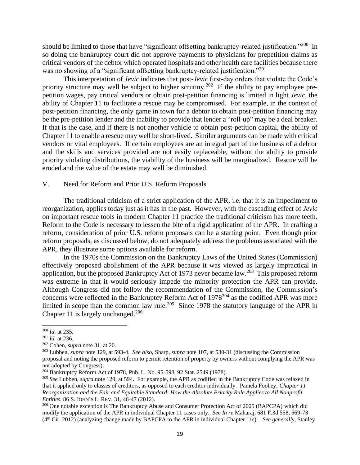should be limited to those that have "significant offsetting bankruptcy-related justification."<sup>200</sup> In so doing the bankruptcy court did not approve payments to physicians for prepetition claims as critical vendors of the debtor which operated hospitals and other health care facilities because there was no showing of a "significant offsetting bankruptcy-related justification."<sup>201</sup>

This interpretation of *Jevic* indicates that post-*Jevic* first-day orders that violate the Code's priority structure may well be subject to higher scrutiny.<sup>202</sup> If the ability to pay employee prepetition wages, pay critical vendors or obtain post-petition financing is limited in light *Jevic*, the ability of Chapter 11 to facilitate a rescue may be compromised. For example, in the context of post-petition financing, the only game in town for a debtor to obtain post-petition financing may be the pre-petition lender and the inability to provide that lender a "roll-up" may be a deal breaker. If that is the case, and if there is not another vehicle to obtain post-petition capital, the ability of Chapter 11 to enable a rescue may well be short-lived. Similar arguments can be made with critical vendors or vital employees. If certain employees are an integral part of the business of a debtor and the skills and services provided are not easily replaceable, without the ability to provide priority violating distributions, the viability of the business will be marginalized. Rescue will be eroded and the value of the estate may well be diminished.

# V. Need for Reform and Prior U.S. Reform Proposals

The traditional criticism of a strict application of the APR, i.e. that it is an impediment to reorganization, applies today just as it has in the past. However, with the cascading effect of *Jevic* on important rescue tools in modern Chapter 11 practice the traditional criticism has more teeth. Reform to the Code is necessary to lessen the bite of a rigid application of the APR. In crafting a reform, consideration of prior U.S. reform proposals can be a starting point. Even though prior reform proposals, as discussed below, do not adequately address the problems associated with the APR, they illustrate some options available for reform.

In the 1970s the Commission on the Bankruptcy Laws of the United States (Commission) effectively proposed abolishment of the APR because it was viewed as largely impractical in application, but the proposed Bankruptcy Act of 1973 never became law.<sup>203</sup> This proposed reform was extreme in that it would seriously impede the minority protection the APR can provide. Although Congress did not follow the recommendation of the Commission, the Commission's concerns were reflected in the Bankruptcy Reform Act of 1978<sup>204</sup> as the codified APR was more limited in scope than the common law rule.<sup>205</sup> Since 1978 the statutory language of the APR in Chapter 11 is largely unchanged.<sup>206</sup>

<sup>200</sup> *Id.* at 235.

<sup>201</sup> *Id.* at 236.

<sup>202</sup> Cohen, *supra* note 31, at 20.

<sup>203</sup> Lubben, *supra* note 129, at 593-4. *See also*, Sharp, *supra* note 107, at 530-31 (discussing the Commission proposal and noting the proposed reform to permit retention of property by owners without complying the APR was not adopted by Congress).

<sup>204</sup> Bankruptcy Reform Act of 1978, Pub. L. No. 95-598, 92 Stat. 2549 (1978).

<sup>205</sup> *See* Lubben, *supra* note 129, at 594. For example, the APR as codified in the Bankruptcy Code was relaxed in that it applied only to classes of creditors, as opposed to each creditor individually. Pamela Foohey, *Chapter 11 Reorganization and the Fair and Equitable Standard: How the Absolute Priority Rule Applies to All Nonprofit Entities*, 86 S. JOHN'S L. REV. 31, 46-47 (2012).

<sup>&</sup>lt;sup>206</sup> One notable exception is The Bankruptcy Abuse and Consumer Protection Act of 2005 (BAPCPA) which did modify the application of the APR in individual Chapter 11 cases only. *See In re* Maharaj, 681 F.3d 558, 569-73 (4th Cir. 2012) (analyzing change made by BAPCPA to the APR in individual Chapter 11s). *See generally*, Stanley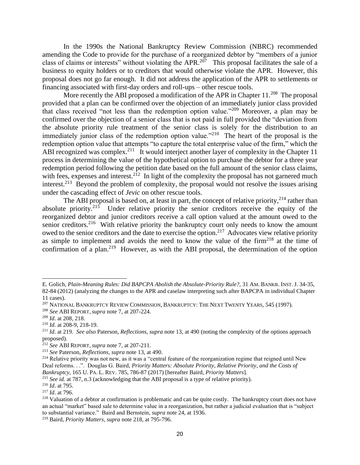In the 1990s the National Bankruptcy Review Commission (NBRC) recommended amending the Code to provide for the purchase of a reorganized debtor by "members of a junior class of claims or interests" without violating the APR.<sup>207</sup> This proposal facilitates the sale of a business to equity holders or to creditors that would otherwise violate the APR. However, this proposal does not go far enough. It did not address the application of the APR to settlements or financing associated with first-day orders and roll-ups – other rescue tools.

More recently the ABI proposed a modification of the APR in Chapter  $11.^{208}$  The proposal provided that a plan can be confirmed over the objection of an immediately junior class provided that class received "not less than the redemption option value."<sup>209</sup> Moreover, a plan may be confirmed over the objection of a senior class that is not paid in full provided the "deviation from the absolute priority rule treatment of the senior class is solely for the distribution to an immediately junior class of the redemption option value."<sup>210</sup> The heart of the proposal is the redemption option value that attempts "to capture the total enterprise value of the firm," which the ABI recognized was complex.<sup>211</sup> It would interject another layer of complexity in the Chapter 11 process in determining the value of the hypothetical option to purchase the debtor for a three year redemption period following the petition date based on the full amount of the senior class claims, with fees, expenses and interest.<sup>212</sup> In light of the complexity the proposal has not garnered much interest.<sup>213</sup> Beyond the problem of complexity, the proposal would not resolve the issues arising under the cascading effect of *Jevic* on other rescue tools.

The ABI proposal is based on, at least in part, the concept of relative priority,  $^{214}$  rather than absolute priority.<sup>215</sup> Under relative priority the senior creditors receive the equity of the reorganized debtor and junior creditors receive a call option valued at the amount owed to the senior creditors.<sup>216</sup> With relative priority the bankruptcy court only needs to know the amount owed to the senior creditors and the date to exercise the option.<sup>217</sup> Advocates view relative priority as simple to implement and avoids the need to know the value of the firm<sup>218</sup> at the time of confirmation of a plan.<sup>219</sup> However, as with the ABI proposal, the determination of the option

E. Golich, *Plain-Meaning Rules: Did BAPCPA Abolish the Absolute-Priority Rule?*, 31 AM. BANKR. INST. J. 34-35, 82-84 (2012) (analyzing the changes to the APR and caselaw interpreting such after BAPCPA in individual Chapter 11 cases).

<sup>&</sup>lt;sup>207</sup> NATIONAL BANKRUPTCY REVIEW COMMISSION, BANKRUPTCY: THE NEXT TWENTY YEARS, 545 (1997).

<sup>208</sup> *See* ABI REPORT, *supra* note 7, at 207-224.

<sup>209</sup> *Id*. at 208, 218.

<sup>210</sup> *Id*. at 208-9, 218-19.

<sup>211</sup> *Id*. at 219. *See also* Paterson, *Reflections*, *supra* note 13, at 490 (noting the complexity of the options approach proposed).

<sup>212</sup> *See* ABI REPORT, *supra* note 7, at 207-211.

<sup>213</sup> *See* Paterson, *Reflections*, *supra* note 13, at 490.

<sup>&</sup>lt;sup>214</sup> Relative priority was not new, as it was a "central feature of the reorganization regime that reigned until New Deal reforms. . .". Douglas G. Baird, *Priority Matters: Absolute Priority, Relative Priority, and the Costs of Bankruptcy*, 165 U. PA. L. REV. 785, 786-87 (2017) [hereafter Baird, *Priority Matters*].

<sup>215</sup> *See id.* at 787, n.3 (acknowledging that the ABI proposal is a type of relative priority).

<sup>216</sup> *Id*. at 795.

<sup>217</sup> *Id*. at 796.

<sup>&</sup>lt;sup>218</sup> Valuation of a debtor at confirmation is problematic and can be quite costly. The bankruptcy court does not have an actual "market" based sale to determine value in a reorganization, but rather a judicial evaluation that is "subject to substantial variance." Baird and Bernstein, *supra* note 24, at 1936.

<sup>219</sup> Baird, *Priority Matters*, *supra* note 218, at 795-796.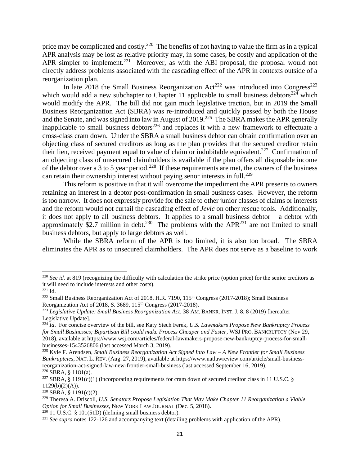price may be complicated and costly.<sup>220</sup> The benefits of not having to value the firm as in a typical APR analysis may be lost as relative priority may, in some cases, be costly and application of the APR simpler to implement.<sup>221</sup> Moreover, as with the ABI proposal, the proposal would not directly address problems associated with the cascading effect of the APR in contexts outside of a reorganization plan.

In late 2018 the Small Business Reorganization Act<sup>222</sup> was introduced into Congress<sup>223</sup> which would add a new subchapter to Chapter 11 applicable to small business debtors<sup>224</sup> which would modify the APR. The bill did not gain much legislative traction, but in 2019 the Small Business Reorganization Act (SBRA) was re-introduced and quickly passed by both the House and the Senate, and was signed into law in August of  $2019$ <sup>225</sup> The SBRA makes the APR generally inapplicable to small business debtors<sup>226</sup> and replaces it with a new framework to effectuate a cross-class cram down. Under the SBRA a small business debtor can obtain confirmation over an objecting class of secured creditors as long as the plan provides that the secured creditor retain their lien, received payment equal to value of claim or indubitable equivalent.<sup>227</sup> Confirmation of an objecting class of unsecured claimholders is available if the plan offers all disposable income of the debtor over a 3 to 5 year period.<sup>228</sup> If these requirements are met, the owners of the business can retain their ownership interest without paying senor interests in full.<sup>229</sup>

This reform is positive in that it will overcome the impediment the APR presents to owners retaining an interest in a debtor post-confirmation in small business cases. However, the reform is too narrow. It does not expressly provide for the sale to other junior classes of claims or interests and the reform would not curtail the cascading effect of *Jevic* on other rescue tools. Additionally, it does not apply to all business debtors. It applies to a small business debtor – a debtor with approximately \$2.7 million in debt.<sup>230</sup> The problems with the APR<sup>231</sup> are not limited to small business debtors, but apply to large debtors as well.

While the SBRA reform of the APR is too limited, it is also too broad. The SBRA eliminates the APR as to unsecured claimholders. The APR does not serve as a baseline to work

<sup>220</sup> *See id.* at 819 (recognizing the difficulty with calculation the strike price (option price) for the senior creditors as it will need to include interests and other costs).

<sup>221</sup> Id.

<sup>&</sup>lt;sup>222</sup> Small Business Reorganization Act of 2018, H.R. 7190, 115<sup>th</sup> Congress (2017-2018); Small Business Reorganization Act of 2018, S. 3689, 115<sup>th</sup> Congress (2017-2018).

<sup>223</sup> *Legislative Update: Small Business Reorganization Act*, 38 AM. BANKR. INST. J. 8, 8 (2019) [hereafter Legislative Update].

<sup>224</sup> *Id*. For concise overview of the bill, see Katy Stech Ferek, *U.S. Lawmakers Propose New Bankruptcy Process for Small Businesses; Bipartisan Bill could make Process Cheaper and Faster*, WSJ PRO. BANKRUPTCY (Nov 29, 2018), available at https://www.wsj.com/articles/federal-lawmakers-propose-new-bankruptcy-process-for-smallbusinesses-1543526806 (last accessed March 3, 2019).

<sup>225</sup> Kyle F. Arendsen, *Small Business Reorganization Act Signed Into Law – A New Frontier for Small Business Bankruptcies*, NAT. L. REV. (Aug. 27, 2019), available at https://www.natlawreview.com/article/small-businessreorganization-act-signed-law-new-frontier-small-business (last accessed September 16, 2019).  $226$  SBRA, § 1181(a).

<sup>&</sup>lt;sup>227</sup> SBRA, § 1191(c)(1) (incorporating requirements for cram down of secured creditor class in 11 U.S.C. § 1129(b)(2)(A)).

<sup>228</sup> SBRA, § 1191(c)(2).

<sup>229</sup> Theresa A. Driscoll, *U.S. Senators Propose Legislation That May Make Chapter 11 Reorganization a Viable Option for Small Businesses*, NEW YORK LAW JOURNAL (Dec. 5, 2018).

 $^{230}$  11 U.S.C. § 101(51D) (defining small business debtor).

<sup>&</sup>lt;sup>231</sup> See supra notes 122-126 and accompanying text (detailing problems with application of the APR).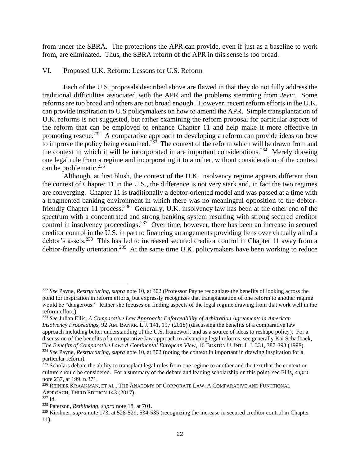from under the SBRA. The protections the APR can provide, even if just as a baseline to work from, are eliminated. Thus, the SBRA reform of the APR in this sense is too broad.

# VI. Proposed U.K. Reform: Lessons for U.S. Reform

Each of the U.S. proposals described above are flawed in that they do not fully address the traditional difficulties associated with the APR and the problems stemming from *Jevic*. Some reforms are too broad and others are not broad enough. However, recent reform efforts in the U.K. can provide inspiration to U.S policymakers on how to amend the APR. Simple transplantation of U.K. reforms is not suggested, but rather examining the reform proposal for particular aspects of the reform that can be employed to enhance Chapter 11 and help make it more effective in promoting rescue.<sup>232</sup> A comparative approach to developing a reform can provide ideas on how to improve the policy being examined.<sup>233</sup> The context of the reform which will be drawn from and the context in which it will be incorporated in are important considerations.<sup>234</sup> Merely drawing one legal rule from a regime and incorporating it to another, without consideration of the context can be problematic. $235$ 

Although, at first blush, the context of the U.K. insolvency regime appears different than the context of Chapter 11 in the U.S., the difference is not very stark and, in fact the two regimes are converging. Chapter 11 is traditionally a debtor-oriented model and was passed at a time with a fragmented banking environment in which there was no meaningful opposition to the debtorfriendly Chapter 11 process.<sup>236</sup> Generally, U.K. insolvency law has been at the other end of the spectrum with a concentrated and strong banking system resulting with strong secured creditor control in insolvency proceedings.<sup>237</sup> Over time, however, there has been an increase in secured creditor control in the U.S. in part to financing arrangements providing liens over virtually all of a debtor's assets.<sup>238</sup> This has led to increased secured creditor control in Chapter 11 away from a debtor-friendly orientation.<sup>239</sup> At the same time U.K. policymakers have been working to reduce

<sup>232</sup> *See* Payne, *Restructuring*, *supra* note 10, at 302 (Professor Payne recognizes the benefits of looking across the pond for inspiration in reform efforts, but expressly recognizes that transplantation of one reform to another regime would be "dangerous." Rather she focuses on finding aspects of the legal regime drawing from that work well in the reform effort.).

<sup>233</sup> *See* Julian Ellis, *A Comparative Law Approach: Enforceability of Arbitration Agreements in American Insolvency Proceedings*, 92 AM. BANKR. L.J. 141, 197 (2018) (discussing the benefits of a comparative law approach including better understanding of the U.S. framework and as a source of ideas to reshape policy). For a discussion of the benefits of a comparative law approach to advancing legal reforms, see generally Kai Schadback, T*he Benefits of Comparative Law: A Continental European View*, 16 BOSTON U. INT. L.J. 331, 387-393 (1998).

<sup>234</sup> *See* Payne, *Restructuring*, *supra* note 10, at 302 (noting the context in important in drawing inspiration for a particular reform).

<sup>&</sup>lt;sup>235</sup> Scholars debate the ability to transplant legal rules from one regime to another and the text that the context or culture should be considered. For a summary of the debate and leading scholarship on this point, see Ellis, *supra*  note 237, at 199, n.371.

<sup>236</sup> REINIER KRAAKMAN, ET AL., THE ANATOMY OF CORPORATE LAW: A COMPARATIVE AND FUNCTIONAL APPROACH, THIRD EDITION 143 (2017).

<sup>237</sup> Id.

<sup>238</sup> Paterson, *Rethinking*, *supra* note 18, at 701.

<sup>&</sup>lt;sup>239</sup> Kirshner, *supra* note 173, at 528-529, 534-535 (recognizing the increase in secured creditor control in Chapter 11).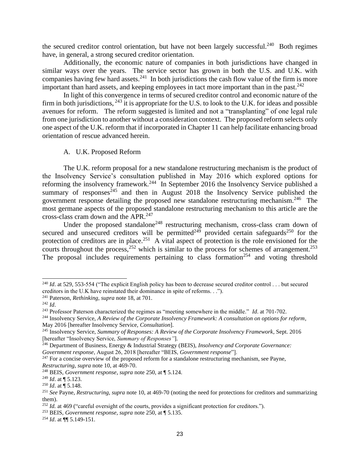the secured creditor control orientation, but have not been largely successful.<sup>240</sup> Both regimes have, in general, a strong secured creditor orientation.

Additionally, the economic nature of companies in both jurisdictions have changed in similar ways over the years. The service sector has grown in both the U.S. and U.K. with companies having few hard assets.<sup>241</sup> In both jurisdictions the cash flow value of the firm is more important than hard assets, and keeping employees in tact more important than in the past. $242$ 

In light of this convergence in terms of secured creditor control and economic nature of the firm in both jurisdictions,  $^{243}$  it is appropriate for the U.S. to look to the U.K. for ideas and possible avenues for reform. The reform suggested is limited and not a "transplanting" of one legal rule from one jurisdiction to another without a consideration context. The proposed reform selects only one aspect of the U.K. reform that if incorporated in Chapter 11 can help facilitate enhancing broad orientation of rescue advanced herein.

# A. U.K. Proposed Reform

The U.K. reform proposal for a new standalone restructuring mechanism is the product of the Insolvency Service's consultation published in May 2016 which explored options for reforming the insolvency framework.<sup>244</sup> In September 2016 the Insolvency Service published a summary of responses $245$  and then in August 2018 the Insolvency Service published the government response detailing the proposed new standalone restructuring mechanism.<sup>246</sup> The most germane aspects of the proposed standalone restructuring mechanism to this article are the cross-class cram down and the APR. 247

Under the proposed standalone<sup>248</sup> restructuring mechanism, cross-class cram down of secured and unsecured creditors will be permitted<sup> $24\overline{9}$ </sup> provided certain safeguards<sup>250</sup> for the protection of creditors are in place.<sup>251</sup> A vital aspect of protection is the role envisioned for the courts throughout the process,  $252$  which is similar to the process for schemes of arrangement.  $253$ The proposal includes requirements pertaining to class formation<sup>254</sup> and voting threshold

<sup>&</sup>lt;sup>240</sup> *Id.* at 529, 553-554 ("The explicit English policy has been to decrease secured creditor control . . . but secured creditors in the U.K have reinstated their dominance in spite of reforms. . .").

<sup>241</sup> Paterson, *Rethinking*, *supra* note 18, at 701.

 $^{242}$  *Id.* 

<sup>243</sup> Professor Paterson characterized the regimes as "meeting somewhere in the middle." *Id*. at 701-702.

<sup>244</sup> Insolvency Service, *A Review of the Corporate Insolvency Framework: A consultation on options for reform*, May 2016 [hereafter Insolvency Service, *Consultation*].

<sup>245</sup> Insolvency Service, *Summary of Responses: A Review of the Corporate Insolvency Framework*, Sept. 2016 [hereafter "Insolvency Service, *Summary of Responses"*].

<sup>246</sup> Department of Business, Energy & Industrial Strategy (BEIS), *Insolvency and Corporate Governance: Government response*, August 26, 2018 [hereafter "BEIS, *Government response*"].

 $247$  For a concise overview of the proposed reform for a standalone restructuring mechanism, see Payne, *Restructuring*, *supra* note 10, at 469-70.

<sup>248</sup> BEIS, *Government response*, *supra* note 250, at ¶ 5.124.

<sup>249</sup> *Id*. at ¶ 5.123.

<sup>250</sup> *Id*. at ¶ 5.148.

<sup>251</sup> *See* Payne, *Restructuring*, *supra* note 10, at 469-70 (noting the need for protections for creditors and summarizing them).

<sup>&</sup>lt;sup>252</sup> *Id.* at 469 ("careful oversight of the courts, provides a significant protection for creditors.").

<sup>253</sup> BEIS, *Government response, supra* note 250*,* at ¶ 5.135.

<sup>254</sup> *Id*. at ¶¶ 5.149-151.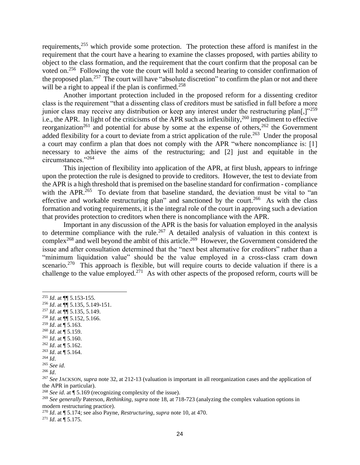requirements,<sup>255</sup> which provide some protection. The protection these afford is manifest in the requirement that the court have a hearing to examine the classes proposed, with parties ability to object to the class formation, and the requirement that the court confirm that the proposal can be voted on.<sup>256</sup> Following the vote the court will hold a second hearing to consider confirmation of the proposed plan.<sup>257</sup> The court will have "absolute discretion" to confirm the plan or not and there will be a right to appeal if the plan is confirmed.<sup>258</sup>

Another important protection included in the proposed reform for a dissenting creditor class is the requirement "that a dissenting class of creditors must be satisfied in full before a more junior class may receive any distribution or keep any interest under the restructuring plan[,] $v^{259}$ i.e., the APR. In light of the criticisms of the APR such as inflexibility,<sup>260</sup> impediment to effective reorganization<sup>261</sup> and potential for abuse by some at the expense of others,<sup>262</sup> the Government added flexibility for a court to deviate from a strict application of the rule.<sup>263</sup> Under the proposal a court may confirm a plan that does not comply with the APR "where noncompliance is: [1] necessary to achieve the aims of the restructuring; and [2] just and equitable in the circumstances."<sup>264</sup>

This injection of flexibility into application of the APR, at first blush, appears to infringe upon the protection the rule is designed to provide to creditors. However, the test to deviate from the APR is a high threshold that is premised on the baseline standard for confirmation - compliance with the APR.<sup>265</sup> To deviate from that baseline standard, the deviation must be vital to "an effective and workable restructuring plan" and sanctioned by the court.<sup>266</sup> As with the class formation and voting requirements, it is the integral role of the court in approving such a deviation that provides protection to creditors when there is noncompliance with the APR.

Important in any discussion of the APR is the basis for valuation employed in the analysis to determine compliance with the rule.<sup>267</sup> A detailed analysis of valuation in this context is complex<sup>268</sup> and well beyond the ambit of this article.<sup>269</sup> However, the Government considered the issue and after consultation determined that the "next best alternative for creditors" rather than a "minimum liquidation value" should be the value employed in a cross-class cram down scenario.<sup>270</sup> This approach is flexible, but will require courts to decide valuation if there is a challenge to the value employed.<sup>271</sup> As with other aspects of the proposed reform, courts will be

- <sup>257</sup> *Id*. at ¶¶ 5.135, 5.149.
- <sup>258</sup> *Id*. at ¶¶ 5.152, 5.166.
- $^{259}$  *Id.* at  $\overline{9}$  5.163.
- <sup>260</sup> *Id*. at ¶ 5.159.
- <sup>261</sup> *Id*. at ¶ 5.160.
- <sup>262</sup> *Id*. at ¶ 5.162.
- <sup>263</sup> *Id*. at ¶ 5.164. <sup>264</sup> *Id*.

<sup>266</sup> *Id*.

<sup>268</sup> *See id*. at ¶ 5.169 (recognizing complexity of the issue).

<sup>269</sup> *See generally* Paterson, *Rethinking, supra* note 18, at 718-723 (analyzing the complex valuation options in modern restructuring practice).

<sup>270</sup> *Id*. at ¶ 5.174; see also Payne, *Restructuring*, *supra* note 10, at 470.

<sup>271</sup> *Id*. at ¶ 5.175.

<sup>255</sup> *Id*. at ¶¶ 5.153-155.

<sup>256</sup> *Id*. at ¶¶ 5.135, 5.149-151.

<sup>265</sup> *See id*.

<sup>267</sup> *See* JACKSON, *supra* note 32, at 212-13 (valuation is important in all reorganization cases and the application of the APR in particular).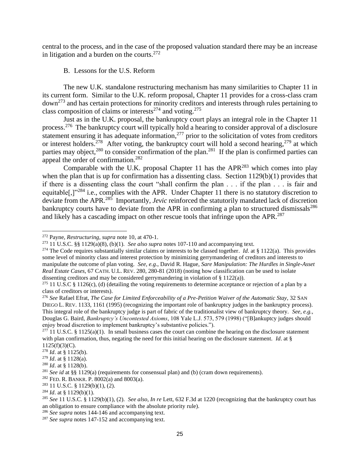central to the process, and in the case of the proposed valuation standard there may be an increase in litigation and a burden on the courts.  $272$ 

#### B. Lessons for the U.S. Reform

The new U.K. standalone restructuring mechanism has many similarities to Chapter 11 in its current form. Similar to the U.K. reform proposal, Chapter 11 provides for a cross-class cram down<sup>273</sup> and has certain protections for minority creditors and interests through rules pertaining to class composition of claims or interests<sup>274</sup> and voting.<sup>275</sup>

Just as in the U.K. proposal, the bankruptcy court plays an integral role in the Chapter 11 process.<sup>276</sup> The bankruptcy court will typically hold a hearing to consider approval of a disclosure statement ensuring it has adequate information, $277$  prior to the solicitation of votes from creditors or interest holders.<sup>278</sup> After voting, the bankruptcy court will hold a second hearing,<sup>279</sup> at which parties may object,  $280$  to consider confirmation of the plan.  $281$  If the plan is confirmed parties can appeal the order of confirmation.<sup>282</sup>

Comparable with the U.K. proposal Chapter 11 has the  $APR<sup>283</sup>$  which comes into play when the plan that is up for confirmation has a dissenting class. Section 1129(b)(1) provides that if there is a dissenting class the court "shall confirm the plan . . . if the plan . . . is fair and equitable[,]"<sup>284</sup> i.e., complies with the APR. Under Chapter 11 there is no statutory discretion to deviate from the APR.<sup>285</sup> Importantly, *Jevic* reinforced the statutorily mandated lack of discretion bankruptcy courts have to deviate from the APR in confirming a plan to structured dismissals<sup>286</sup> and likely has a cascading impact on other rescue tools that infringe upon the APR. $^{287}$ 

<sup>272</sup> Payne, *Restructuring*, *supra* note 10, at 470-1.

<sup>&</sup>lt;sup>273</sup> 11 U.S.C. §§ 1129(a)(8), (b)(1). *See also supra* notes 107-110 and accompanying text.

<sup>&</sup>lt;sup>274</sup> The Code requires substantially similar claims or interests to be classed together. *Id.* at § 1122(a). This provides some level of minority class and interest protection by minimizing gerrymandering of creditors and interests to manipulate the outcome of plan voting. *See, e.g*., David R. Hague, *Sare Manipulation: The Hurdles in Single-Asset Real Estate Cases*, 67 CATH. U.L. REV. 280, 280-81 (2018) (noting how classification can be used to isolate dissenting creditors and may be considered gerrymandering in violation of § 1122(a)).

<sup>&</sup>lt;sup>275</sup> 11 U.S.C § 1126(c), (d) (detailing the voting requirements to determine acceptance or rejection of a plan by a class of creditors or interests).

<sup>276</sup> *See* Rafael Efrat, *The Case for Limited Enforceability of a Pre-Petition Waiver of the Automatic Stay*, 32 SAN DIEGO L. REV. 1133, 1161 (1995) (recognizing the important role of bankruptcy judges in the bankruptcy process). This integral role of the bankruptcy judge is part of fabric of the traditionalist view of bankruptcy theory. *See, e.g.,* Douglas G. Baird, *Bankruptcy's Uncontested Axioms*, 108 Yale L.J. 573, 579 (1998) ("[B]ankuptcy judges should enjoy broad discretion to implement bankruptcy's substantive policies.").

 $^{277}$  11 U.S.C. § 1125(a)(1). In small business cases the court can combine the hearing on the disclosure statement with plan confirmation, thus, negating the need for this initial hearing on the disclosure statement. *Id*. at § 1125(f)(3)(C).

<sup>278</sup> *Id*. at § 1125(b).

<sup>279</sup> *Id*. at § 1128(a).

<sup>280</sup> *Id*. at § 1128(b).

<sup>281</sup> *See id* at §§ 1129(a) (requirements for consensual plan) and (b) (cram down requirements).

<sup>&</sup>lt;sup>282</sup> FED. R. BANKR. P. 8002(a) and 8003(a).

<sup>283</sup> 11 U.S.C. § 1129(b)(1), (2).

<sup>284</sup> *Id*. at § 1129(b)(1).

<sup>285</sup> *See* 11 U.S.C. § 1129(b)(1), (2). *See also*, *In re* Lett, 632 F.3d at 1220 (recognizing that the bankruptcy court has an obligation to ensure compliance with the absolute priority rule).

<sup>286</sup> *See supra* notes 144-146 and accompanying text.

<sup>287</sup> *See supra* notes 147-152 and accompanying text.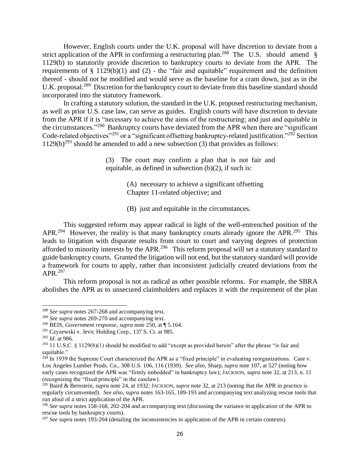However, English courts under the U.K. proposal will have discretion to deviate from a strict application of the APR in confirming a restructuring plan.<sup>288</sup> The U.S. should amend § 1129(b) to statutorily provide discretion to bankruptcy courts to deviate from the APR. The requirements of  $\S$  1129(b)(1) and (2) - the "fair and equitable" requirement and the definition thereof - should not be modified and would serve as the baseline for a cram down, just as in the U.K. proposal.<sup>289</sup> Discretion for the bankruptcy court to deviate from this baseline standard should incorporated into the statutory framework.

In crafting a statutory solution, the standard in the U.K. proposed restructuring mechanism, as well as prior U.S. case law, can serve as guides. English courts will have discretion to deviate from the APR if it is "necessary to achieve the aims of the restructuring; and just and equitable in the circumstances."<sup>290</sup> Bankruptcy courts have deviated from the APR when there are "significant Code-related objectives"<sup>291</sup> or a "significant offsetting bankruptcy-related justification."<sup>292</sup> Section  $1129(b)^{293}$  should be amended to add a new subsection (3) that provides as follows:

> (3) The court may confirm a plan that is not fair and equitable, as defined in subsection  $(b)(2)$ , if such is:

> > (A) necessary to achieve a significant offsetting Chapter 11-related objective; and

(B) just and equitable in the circumstances.

This suggested reform may appear radical in light of the well-entrenched position of the APR.<sup>294</sup> However, the reality is that many bankruptcy courts already ignore the APR.<sup>295</sup> This leads to litigation with disparate results from court to court and varying degrees of protection afforded to minority interests by the APR.<sup>296</sup> This reform proposal will set a statutory standard to guide bankruptcy courts. Granted the litigation will not end, but the statutory standard will provide a framework for courts to apply, rather than inconsistent judicially created deviations from the APR.<sup>297</sup>

This reform proposal is not as radical as other possible reforms. For example, the SBRA abolishes the APR as to unsecured claimholders and replaces it with the requirement of the plan

<sup>288</sup> *See supra* notes 267-268 and accompanying text.

<sup>289</sup> *See supra* notes 269-270 and accompanying text.

<sup>290</sup> BEIS, *Government response, supra* note 250, at ¶ 5.164.

<sup>291</sup> Czyzewski v. Jevic Holding Corp., 137 S. Ct. at 985.

<sup>292</sup> *Id*. at 986.

<sup>&</sup>lt;sup>293</sup> 11 U.S.C. § 1129(b)(1) should be modified to add "except as provided herein" after the phrase "is fair and equitable."

 $^{294}$  In 1939 the Supreme Court characterized the APR as a "fixed principle" in evaluating reorganizations. Case v. Los Angeles Lumber Prods. Co., 308 U.S. 106, 116 (1939). *See also*, Sharp, *supra* note 107, at 527 (noting how early cases recognized the APR was "firmly imbedded" in bankruptcy law); JACKSON, *supra* note 32, at 213, n. 11 (recognizing the "fixed principle" in the caselaw).

<sup>295</sup> Baird & Bernstein, *supra* note 24, at 1932; JACKSON, *supra* note 32, at 213 (noting that the APR in practice is regularly circumvented). *See also*, *supra* notes 163-165, 189-193 and accompanying text analyzing rescue tools that run afoul of a strict application of the APR.

<sup>&</sup>lt;sup>296</sup> See supra notes 158-168, 202-204 and accompanying text (discussing the variance in application of the APR to rescue tools by bankruptcy courts).

<sup>&</sup>lt;sup>297</sup> See supra notes 193-204 (detailing the inconsistencies in application of the APR in certain contexts).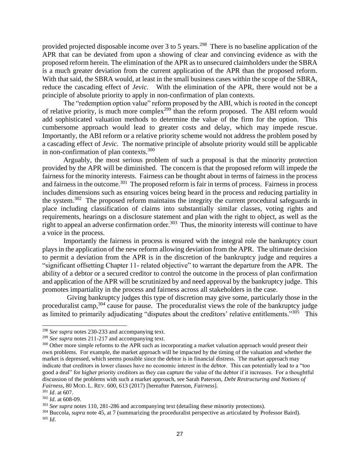provided projected disposable income over 3 to 5 years.<sup>298</sup> There is no baseline application of the APR that can be deviated from upon a showing of clear and convincing evidence as with the proposed reform herein. The elimination of the APR as to unsecured claimholders under the SBRA is a much greater deviation from the current application of the APR than the proposed reform. With that said, the SBRA would, at least in the small business cases within the scope of the SBRA, reduce the cascading effect of *Jevic.* With the elimination of the APR, there would not be a principle of absolute priority to apply in non-confirmation of plan contexts.

The "redemption option value" reform proposed by the ABI, which is rooted in the concept of relative priority, is much more complex<sup>299</sup> than the reform proposed. The ABI reform would add sophisticated valuation methods to determine the value of the firm for the option. This cumbersome approach would lead to greater costs and delay, which may impede rescue. Importantly, the ABI reform or a relative priority scheme would not address the problem posed by a cascading effect of *Jevic*. The normative principle of absolute priority would still be applicable in non-confirmation of plan contexts.<sup>300</sup>

Arguably, the most serious problem of such a proposal is that the minority protection provided by the APR will be diminished. The concern is that the proposed reform will impede the fairness for the minority interests. Fairness can be thought about in terms of fairness in the process and fairness in the outcome.<sup>301</sup> The proposed reform is fair in terms of process. Fairness in process includes dimensions such as ensuring voices being heard in the process and reducing partiality in the system.<sup>302</sup> The proposed reform maintains the integrity the current procedural safeguards in place including classification of claims into substantially similar classes, voting rights and requirements, hearings on a disclosure statement and plan with the right to object, as well as the right to appeal an adverse confirmation order.<sup>303</sup> Thus, the minority interests will continue to have a voice in the process.

Importantly the fairness in process is ensured with the integral role the bankruptcy court plays in the application of the new reform allowing deviation from the APR. The ultimate decision to permit a deviation from the APR is in the discretion of the bankruptcy judge and requires a "significant offsetting Chapter 11- related objective" to warrant the departure from the APR. The ability of a debtor or a secured creditor to control the outcome in the process of plan confirmation and application of the APR will be scrutinized by and need approval by the bankruptcy judge. This promotes impartiality in the process and fairness across all stakeholders in the case.

Giving bankruptcy judges this type of discretion may give some, particularly those in the proceduralist camp,<sup>304</sup> cause for pause. The proceduralist views the role of the bankruptcy judge as limited to primarily adjudicating "disputes about the creditors' relative entitlements."<sup>305</sup> This

<sup>298</sup> *See supra* notes 230-233 and accompanying text.

<sup>299</sup> *See supra* notes 211-217 and accompanying text.

<sup>&</sup>lt;sup>300</sup> Other more simple reforms to the APR such as incorporating a market valuation approach would present their own problems. For example, the market approach will be impacted by the timing of the valuation and whether the market is depressed, which seems possible since the debtor is in financial distress. The market approach may indicate that creditors in lower classes have no economic interest in the debtor. This can potentially lead to a "too good a deal" for higher priority creditors as they can capture the value of the debtor if it increases. For a thoughtful discussion of the problems with such a market approach, see Sarah Paterson, *Debt Restructuring and Notions of Fairness*, 80 MOD. L. REV. 600, 613 (2017) [hereafter Paterson, *Fairness*].

<sup>301</sup> *Id*. at 607.

<sup>302</sup> *Id*. at 608-09.

<sup>303</sup> *See supra* notes 110, 281-286 and accompanying text (detailing these minority protections).

<sup>304</sup> Buccola, *supra* note 45, at 7 (summarizing the proceduralist perspective as articulated by Professor Baird). <sup>305</sup> *Id*.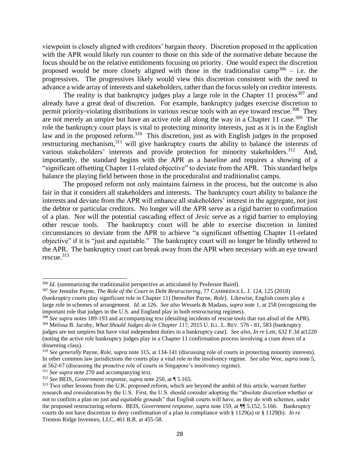viewpoint is closely aligned with creditors' bargain theory. Discretion proposed in the application with the APR would likely run counter to those on this side of the normative debate because the focus should be on the relative entitlements focusing on priority. One would expect the discretion proposed would be more closely aligned with those in the traditionalist camp<sup>306</sup> – i.e. the progressives. The progressives likely would view this discretion consistent with the need to advance a wide array of interests and stakeholders, rather than the focus solely on creditor interests.

The reality is that bankruptcy judges play a large role in the Chapter 11 process  $307$  and already have a great deal of discretion. For example, bankruptcy judges exercise discretion to permit priority-violating distributions in various rescue tools with an eye toward rescue.<sup>308</sup> They are not merely an umpire but have an active role all along the way in a Chapter 11 case.<sup>309</sup> The role the bankruptcy court plays is vital to protecting minority interests, just as it is in the English law and in the proposed reform.<sup>310</sup> This discretion, just as with English judges in the proposed restructuring mechanism,<sup>311</sup> will give bankruptcy courts the ability to balance the interests of various stakeholders' interests and provide protection for minority stakeholders.<sup>312</sup> And, importantly, the standard begins with the APR as a baseline and requires a showing of a "significant offsetting Chapter 11-related objective" to deviate from the APR. This standard helps balance the playing field between those in the proceduralist and traditionalist camps.

The proposed reform not only maintains fairness in the process, but the outcome is also fair in that it considers all stakeholders and interests. The bankruptcy court ability to balance the interests and deviate from the APR will enhance all stakeholders' interest in the aggregate, not just the debtor or particular creditors. No longer will the APR serve as a rigid barrier to confirmation of a plan. Nor will the potential cascading effect of *Jevic* serve as a rigid barrier to employing other rescue tools. The bankruptcy court will be able to exercise discretion in limited circumstances to deviate from the APR to achieve "a significant offsetting Chapter 11-related objective" if it is "just and equitable." The bankruptcy court will no longer be blindly tethered to the APR. The bankruptcy court can break away from the APR when necessary with an eye toward rescue. $313$ 

<sup>&</sup>lt;sup>306</sup> *Id.* (summarizing the traditionalist perspective as articulated by Professor Baird).

<sup>307</sup> *See* Jennifer Payne, *The Role of the Court in Debt Restructuring*, 77 CAMBRIDGE L. J. 124, 125 (2018) (bankruptcy courts play significant role in Chapter 11) [hereafter Payne, *Role*]. Likewise, English courts play a large role in schemes of arrangement. *Id*. at 126. *See also* Wessels & Madaus, *supra* note 1, at 258 (recognizing the important role that judges in the U.S. and England play in both restructuring regimes).

<sup>308</sup> *See supra* notes 189-193 and accompanying text (detailing incidents of rescue tools that run afoul of the APR). <sup>309</sup> Melissa B. Jacoby, *What Should Judges do in Chapter 11*?, 2015 U. ILL. L. REV. 576 - 81, 583 (bankruptcy

judges are not umpires but have vital independent duties in a bankruptcy case). *See also, In re* Lett, 632 F.3d at1220 (noting the active role bankruptcy judges play in a Chapter 11 confirmation process involving a cram down of a dissenting class).

<sup>310</sup> *See generally* Payne, *Role, supra* note 315, at 134-141 (discussing role of courts in protecting minority interests). In other common law jurisdictions the courts play a vital role in the insolvency regime. *See also* Wee, *supra* note 5, at 562-67 (discussing the proactive role of courts in Singapore's insolvency regime).

<sup>311</sup> *See supra* note 270 and accompanying text.

<sup>312</sup> *See* BEIS, *Government response, supra* note 250, at ¶ 5.165.

<sup>&</sup>lt;sup>313</sup> Two other lessons from the U.K. proposed reform, which are beyond the ambit of this article, warrant further research and consideration by the U.S. First, the U.S. should consider adopting the "absolute discretion whether or not to confirm a plan on just and equitable grounds" that English courts will have, as they do with schemes, under the proposed restructuring reform. BEIS, *Government response, supra* note 159, at ¶¶ 5.152, 5.166. Bankruptcy courts do not have discretion to deny confirmation of a plan in compliance with § 1129(a) or § 1129(b). *In re*  Trenton Ridge Investors, LLC, 461 B.R. at 455-58.